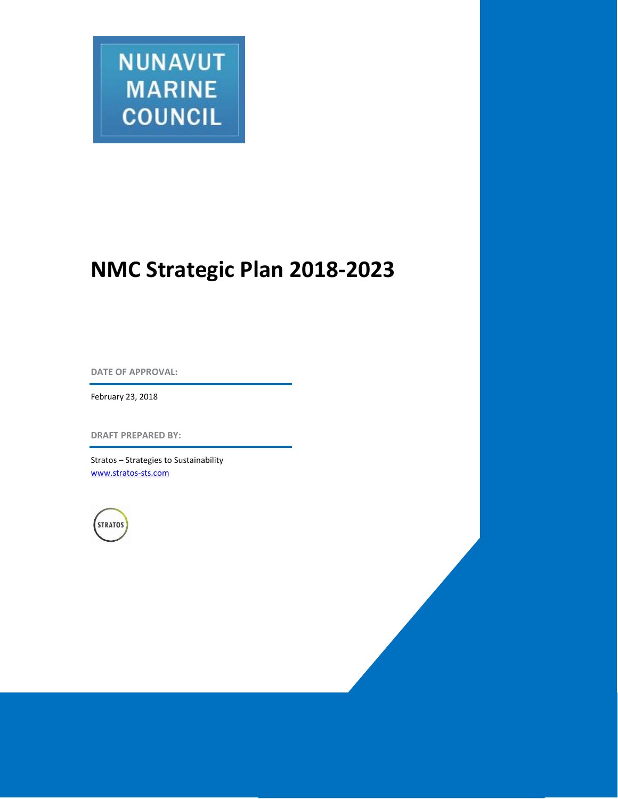

# **NMC Strategic Plan 2018-2023**

**DATE OF APPROVAL:**

February 23, 2018

**DRAFT PREPARED BY:**

Stratos – Strategies to Sustainability [www.stratos-sts.com](http://www.stratos-sts.com/)

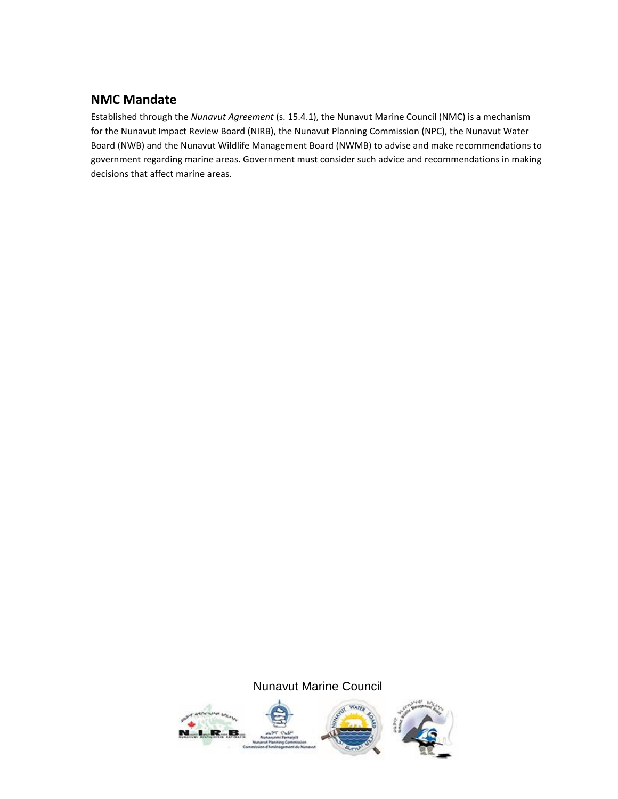# **NMC Mandate**

Established through the *Nunavut Agreement* (s. 15.4.1), the Nunavut Marine Council (NMC) is a mechanism for the Nunavut Impact Review Board (NIRB), the Nunavut Planning Commission (NPC), the Nunavut Water Board (NWB) and the Nunavut Wildlife Management Board (NWMB) to advise and make recommendations to government regarding marine areas. Government must consider such advice and recommendations in making decisions that affect marine areas.

# Nunavut Marine Council

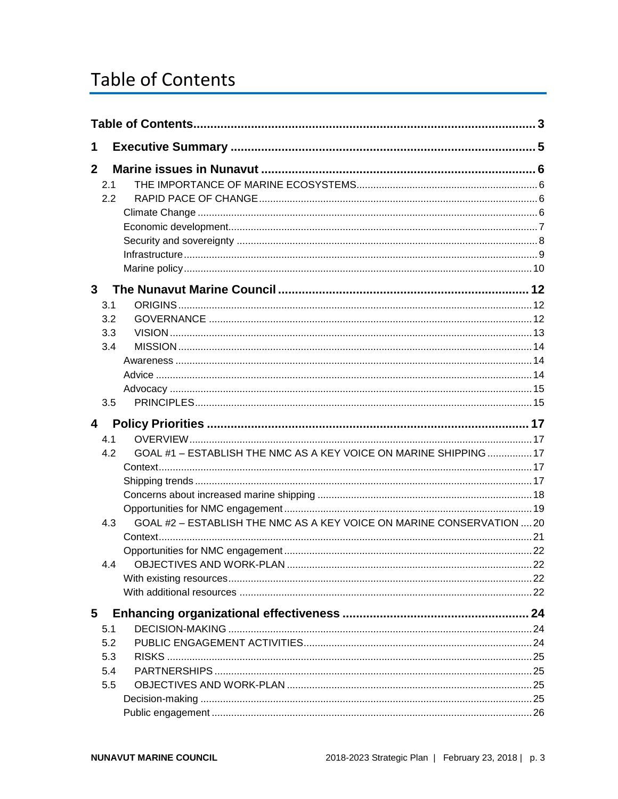# <span id="page-2-0"></span>**Table of Contents**

| 1                       |     |                                                                       |  |  |  |
|-------------------------|-----|-----------------------------------------------------------------------|--|--|--|
| $\mathbf{2}$            |     |                                                                       |  |  |  |
|                         | 2.1 |                                                                       |  |  |  |
|                         | 2.2 |                                                                       |  |  |  |
|                         |     |                                                                       |  |  |  |
|                         |     |                                                                       |  |  |  |
|                         |     |                                                                       |  |  |  |
|                         |     |                                                                       |  |  |  |
|                         |     |                                                                       |  |  |  |
| 3 <sup>1</sup>          |     |                                                                       |  |  |  |
|                         | 3.1 |                                                                       |  |  |  |
|                         | 3.2 |                                                                       |  |  |  |
|                         | 3.3 |                                                                       |  |  |  |
|                         | 3.4 |                                                                       |  |  |  |
|                         |     |                                                                       |  |  |  |
|                         |     |                                                                       |  |  |  |
|                         |     |                                                                       |  |  |  |
|                         | 3.5 |                                                                       |  |  |  |
| $\overline{\mathbf{4}}$ |     |                                                                       |  |  |  |
|                         | 4.1 |                                                                       |  |  |  |
|                         | 4.2 | GOAL #1 - ESTABLISH THE NMC AS A KEY VOICE ON MARINE SHIPPING  17     |  |  |  |
|                         |     |                                                                       |  |  |  |
|                         |     |                                                                       |  |  |  |
|                         |     |                                                                       |  |  |  |
|                         |     |                                                                       |  |  |  |
|                         | 4.3 | GOAL #2 - ESTABLISH THE NMC AS A KEY VOICE ON MARINE CONSERVATION  20 |  |  |  |
|                         |     |                                                                       |  |  |  |
|                         |     |                                                                       |  |  |  |
|                         |     |                                                                       |  |  |  |
|                         |     |                                                                       |  |  |  |
|                         |     |                                                                       |  |  |  |
| 5                       |     |                                                                       |  |  |  |
|                         | 5.1 |                                                                       |  |  |  |
|                         | 5.2 |                                                                       |  |  |  |
|                         | 5.3 |                                                                       |  |  |  |
|                         | 5.4 |                                                                       |  |  |  |
|                         | 5.5 |                                                                       |  |  |  |
|                         |     |                                                                       |  |  |  |
|                         |     |                                                                       |  |  |  |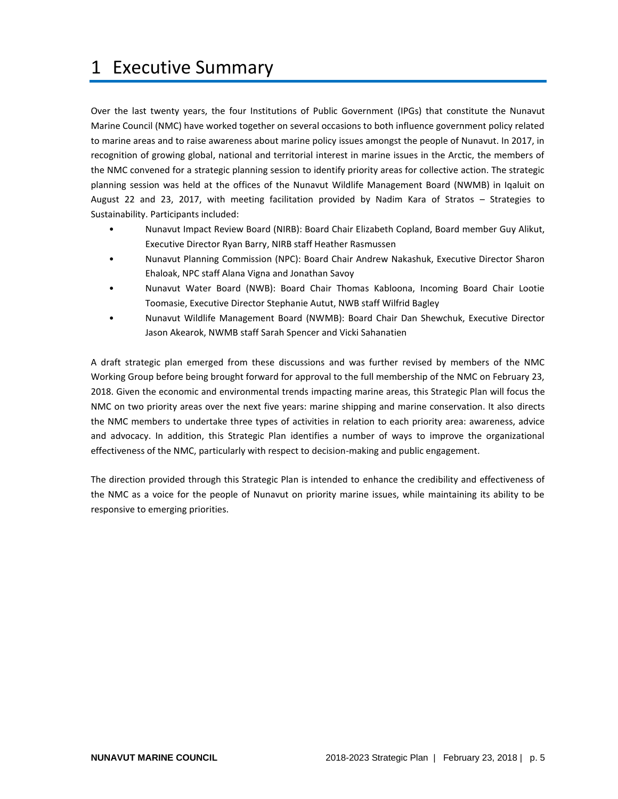# <span id="page-4-0"></span>1 Executive Summary

Over the last twenty years, the four Institutions of Public Government (IPGs) that constitute the Nunavut Marine Council (NMC) have worked together on several occasions to both influence government policy related to marine areas and to raise awareness about marine policy issues amongst the people of Nunavut. In 2017, in recognition of growing global, national and territorial interest in marine issues in the Arctic, the members of the NMC convened for a strategic planning session to identify priority areas for collective action. The strategic planning session was held at the offices of the Nunavut Wildlife Management Board (NWMB) in Iqaluit on August 22 and 23, 2017, with meeting facilitation provided by Nadim Kara of Stratos – Strategies to Sustainability. Participants included:

- Nunavut Impact Review Board (NIRB): Board Chair Elizabeth Copland, Board member Guy Alikut, Executive Director Ryan Barry, NIRB staff Heather Rasmussen
- Nunavut Planning Commission (NPC): Board Chair Andrew Nakashuk, Executive Director Sharon Ehaloak, NPC staff Alana Vigna and Jonathan Savoy
- Nunavut Water Board (NWB): Board Chair Thomas Kabloona, Incoming Board Chair Lootie Toomasie, Executive Director Stephanie Autut, NWB staff Wilfrid Bagley
- Nunavut Wildlife Management Board (NWMB): Board Chair Dan Shewchuk, Executive Director Jason Akearok, NWMB staff Sarah Spencer and Vicki Sahanatien

A draft strategic plan emerged from these discussions and was further revised by members of the NMC Working Group before being brought forward for approval to the full membership of the NMC on February 23, 2018. Given the economic and environmental trends impacting marine areas, this Strategic Plan will focus the NMC on two priority areas over the next five years: marine shipping and marine conservation. It also directs the NMC members to undertake three types of activities in relation to each priority area: awareness, advice and advocacy. In addition, this Strategic Plan identifies a number of ways to improve the organizational effectiveness of the NMC, particularly with respect to decision-making and public engagement.

The direction provided through this Strategic Plan is intended to enhance the credibility and effectiveness of the NMC as a voice for the people of Nunavut on priority marine issues, while maintaining its ability to be responsive to emerging priorities.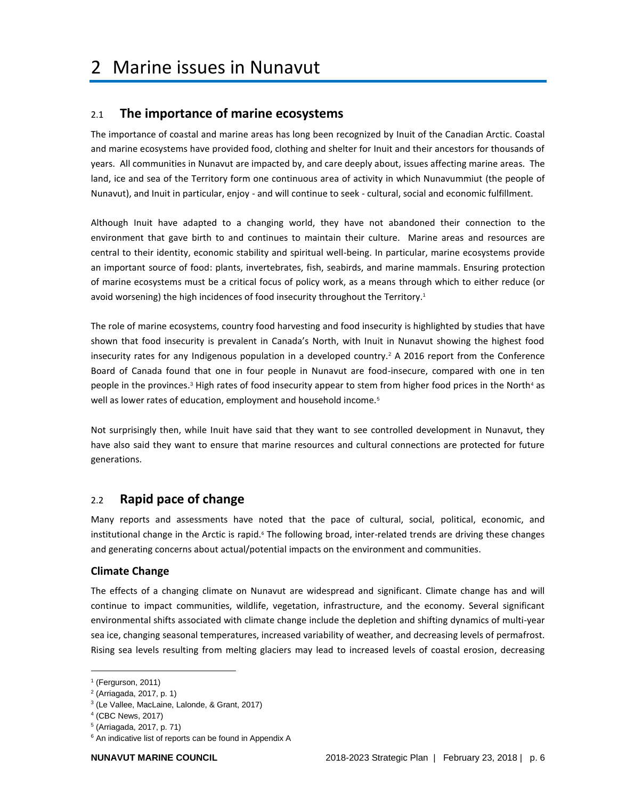# <span id="page-5-1"></span><span id="page-5-0"></span>2.1 **The importance of marine ecosystems**

The importance of coastal and marine areas has long been recognized by Inuit of the Canadian Arctic. Coastal and marine ecosystems have provided food, clothing and shelter for Inuit and their ancestors for thousands of years. All communities in Nunavut are impacted by, and care deeply about, issues affecting marine areas. The land, ice and sea of the Territory form one continuous area of activity in which Nunavummiut (the people of Nunavut), and Inuit in particular, enjoy - and will continue to seek - cultural, social and economic fulfillment.

Although Inuit have adapted to a changing world, they have not abandoned their connection to the environment that gave birth to and continues to maintain their culture. Marine areas and resources are central to their identity, economic stability and spiritual well-being. In particular, marine ecosystems provide an important source of food: plants, invertebrates, fish, seabirds, and marine mammals. Ensuring protection of marine ecosystems must be a critical focus of policy work, as a means through which to either reduce (or avoid worsening) the high incidences of food insecurity throughout the Territory. 1

The role of marine ecosystems, country food harvesting and food insecurity is highlighted by studies that have shown that food insecurity is prevalent in Canada's North, with Inuit in Nunavut showing the highest food insecurity rates for any Indigenous population in a developed country.<sup>2</sup> A 2016 report from the Conference Board of Canada found that one in four people in Nunavut are food-insecure, compared with one in ten people in the provinces.<sup>3</sup> High rates of food insecurity appear to stem from higher food prices in the North<sup>4</sup> as well as lower rates of education, employment and household income.<sup>5</sup>

Not surprisingly then, while Inuit have said that they want to see controlled development in Nunavut, they have also said they want to ensure that marine resources and cultural connections are protected for future generations.

# <span id="page-5-2"></span>2.2 **Rapid pace of change**

Many reports and assessments have noted that the pace of cultural, social, political, economic, and institutional change in the Arctic is rapid.<sup>6</sup> The following broad, inter-related trends are driving these changes and generating concerns about actual/potential impacts on the environment and communities.

# <span id="page-5-3"></span>**Climate Change**

The effects of a changing climate on Nunavut are widespread and significant. Climate change has and will continue to impact communities, wildlife, vegetation, infrastructure, and the economy. Several significant environmental shifts associated with climate change include the depletion and shifting dynamics of multi-year sea ice, changing seasonal temperatures, increased variability of weather, and decreasing levels of permafrost. Rising sea levels resulting from melting glaciers may lead to increased levels of coastal erosion, decreasing

<sup>1</sup> (Fergurson, 2011)

<sup>&</sup>lt;sup>2</sup> (Arriagada, 2017, p. 1)

<sup>3</sup> (Le Vallee, MacLaine, Lalonde, & Grant, 2017)

<sup>4</sup> (CBC News, 2017)

<sup>5</sup> (Arriagada, 2017, p. 71)

<sup>&</sup>lt;sup>6</sup> An indicative list of reports can be found in Appendix A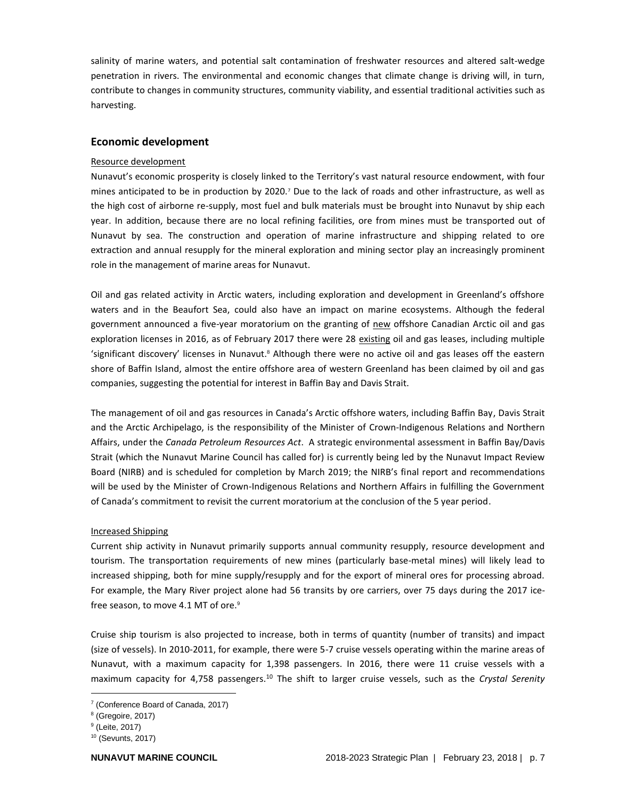salinity of marine waters, and potential salt contamination of freshwater resources and altered salt-wedge penetration in rivers. The environmental and economic changes that climate change is driving will, in turn, contribute to changes in community structures, community viability, and essential traditional activities such as harvesting.

# <span id="page-6-0"></span>**Economic development**

#### Resource development

Nunavut's economic prosperity is closely linked to the Territory's vast natural resource endowment, with four mines anticipated to be in production by 2020.<sup>7</sup> Due to the lack of roads and other infrastructure, as well as the high cost of airborne re-supply, most fuel and bulk materials must be brought into Nunavut by ship each year. In addition, because there are no local refining facilities, ore from mines must be transported out of Nunavut by sea. The construction and operation of marine infrastructure and shipping related to ore extraction and annual resupply for the mineral exploration and mining sector play an increasingly prominent role in the management of marine areas for Nunavut.

Oil and gas related activity in Arctic waters, including exploration and development in Greenland's offshore waters and in the Beaufort Sea, could also have an impact on marine ecosystems. Although the federal government announced a five-year moratorium on the granting of new offshore Canadian Arctic oil and gas exploration licenses in 2016, as of February 2017 there were 28 existing oil and gas leases, including multiple 'significant discovery' licenses in Nunavut.<sup>8</sup> Although there were no active oil and gas leases off the eastern shore of Baffin Island, almost the entire offshore area of western Greenland has been claimed by oil and gas companies, suggesting the potential for interest in Baffin Bay and Davis Strait.

The management of oil and gas resources in Canada's Arctic offshore waters, including Baffin Bay, Davis Strait and the Arctic Archipelago, is the responsibility of the Minister of Crown-Indigenous Relations and Northern Affairs, under the *Canada Petroleum Resources Act*. A strategic environmental assessment in Baffin Bay/Davis Strait (which the Nunavut Marine Council has called for) is currently being led by the Nunavut Impact Review Board (NIRB) and is scheduled for completion by March 2019; the NIRB's final report and recommendations will be used by the Minister of Crown-Indigenous Relations and Northern Affairs in fulfilling the Government of Canada's commitment to revisit the current moratorium at the conclusion of the 5 year period.

### Increased Shipping

Current ship activity in Nunavut primarily supports annual community resupply, resource development and tourism. The transportation requirements of new mines (particularly base-metal mines) will likely lead to increased shipping, both for mine supply/resupply and for the export of mineral ores for processing abroad. For example, the Mary River project alone had 56 transits by ore carriers, over 75 days during the 2017 icefree season, to move 4.1 MT of ore.<sup>9</sup>

Cruise ship tourism is also projected to increase, both in terms of quantity (number of transits) and impact (size of vessels). In 2010-2011, for example, there were 5-7 cruise vessels operating within the marine areas of Nunavut, with a maximum capacity for 1,398 passengers. In 2016, there were 11 cruise vessels with a maximum capacity for 4,758 passengers. <sup>10</sup> The shift to larger cruise vessels, such as the *Crystal Serenity*

<sup>7</sup> (Conference Board of Canada, 2017)

<sup>8</sup> (Gregoire, 2017)

<sup>&</sup>lt;sup>9</sup> (Leite, 2017)

<sup>10</sup> (Sevunts, 2017)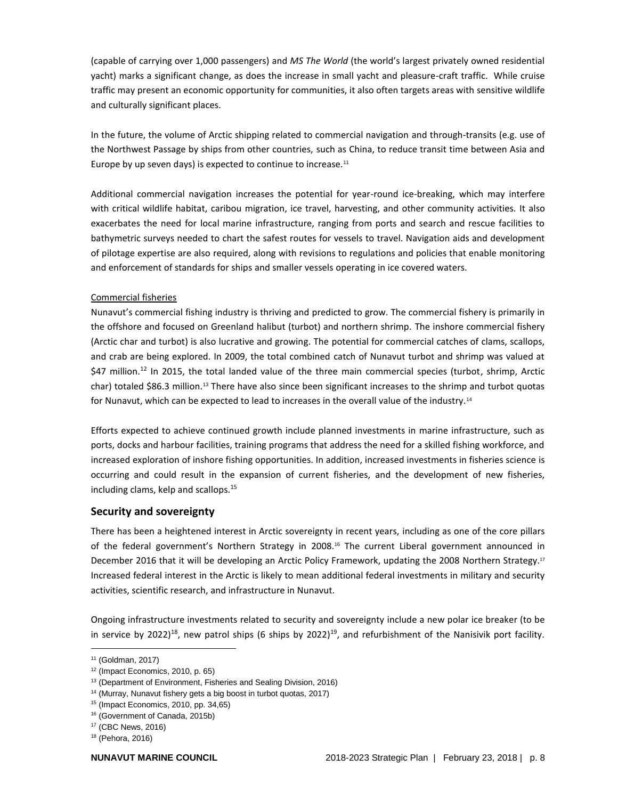(capable of carrying over 1,000 passengers) and *MS The World* (the world's largest privately owned residential yacht) marks a significant change, as does the increase in small yacht and pleasure-craft traffic. While cruise traffic may present an economic opportunity for communities, it also often targets areas with sensitive wildlife and culturally significant places.

In the future, the volume of Arctic shipping related to commercial navigation and through-transits (e.g. use of the Northwest Passage by ships from other countries, such as China, to reduce transit time between Asia and Europe by up seven days) is expected to continue to increase.<sup>11</sup>

Additional commercial navigation increases the potential for year-round ice-breaking, which may interfere with critical wildlife habitat, caribou migration, ice travel, harvesting, and other community activities. It also exacerbates the need for local marine infrastructure, ranging from ports and search and rescue facilities to bathymetric surveys needed to chart the safest routes for vessels to travel. Navigation aids and development of pilotage expertise are also required, along with revisions to regulations and policies that enable monitoring and enforcement of standards for ships and smaller vessels operating in ice covered waters.

# Commercial fisheries

Nunavut's commercial fishing industry is thriving and predicted to grow. The commercial fishery is primarily in the offshore and focused on Greenland halibut (turbot) and northern shrimp. The inshore commercial fishery (Arctic char and turbot) is also lucrative and growing. The potential for commercial catches of clams, scallops, and crab are being explored. In 2009, the total combined catch of Nunavut turbot and shrimp was valued at \$47 million.<sup>12</sup> In 2015, the total landed value of the three main commercial species (turbot, shrimp, Arctic char) totaled \$86.3 million.<sup>13</sup> There have also since been significant increases to the shrimp and turbot quotas for Nunavut, which can be expected to lead to increases in the overall value of the industry.<sup>14</sup>

Efforts expected to achieve continued growth include planned investments in marine infrastructure, such as ports, docks and harbour facilities, training programs that address the need for a skilled fishing workforce, and increased exploration of inshore fishing opportunities. In addition, increased investments in fisheries science is occurring and could result in the expansion of current fisheries, and the development of new fisheries, including clams, kelp and scallops.<sup>15</sup>

# <span id="page-7-0"></span>**Security and sovereignty**

There has been a heightened interest in Arctic sovereignty in recent years, including as one of the core pillars of the federal government's Northern Strategy in 2008.<sup>16</sup> The current Liberal government announced in December 2016 that it will be developing an Arctic Policy Framework, updating the 2008 Northern Strategy.<sup>17</sup> Increased federal interest in the Arctic is likely to mean additional federal investments in military and security activities, scientific research, and infrastructure in Nunavut.

Ongoing infrastructure investments related to security and sovereignty include a new polar ice breaker (to be in service by 2022)<sup>18</sup>, new patrol ships (6 ships by 2022)<sup>19</sup>, and refurbishment of the Nanisivik port facility.

<sup>11</sup> (Goldman, 2017)

 $12$  (Impact Economics, 2010, p. 65)

<sup>&</sup>lt;sup>13</sup> (Department of Environment, Fisheries and Sealing Division, 2016)

<sup>14</sup> (Murray, Nunavut fishery gets a big boost in turbot quotas, 2017)

<sup>15</sup> (Impact Economics, 2010, pp. 34,65)

<sup>16</sup> (Government of Canada, 2015b)

<sup>17</sup> (CBC News, 2016)

<sup>18</sup> (Pehora, 2016)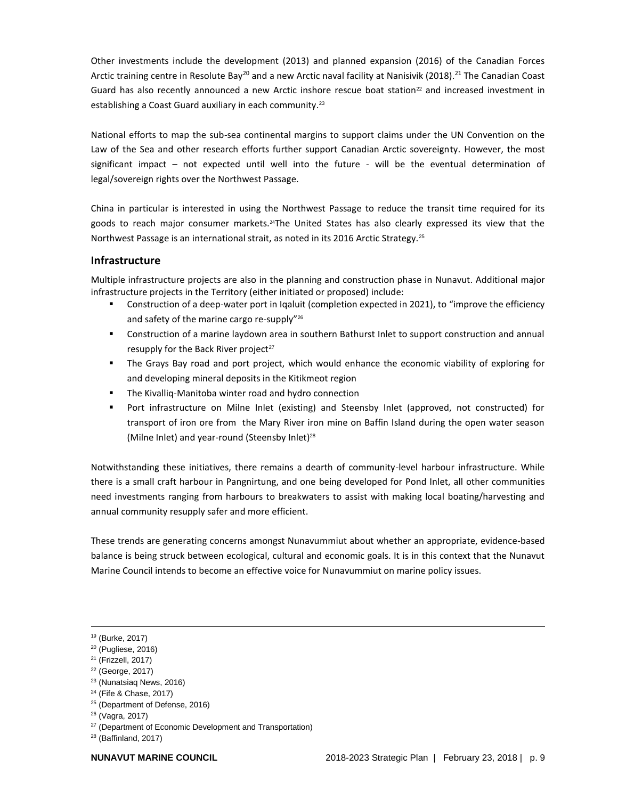Other investments include the development (2013) and planned expansion (2016) of the Canadian Forces Arctic training centre in Resolute Bay<sup>20</sup> and a new Arctic naval facility at Nanisivik (2018).<sup>21</sup> The Canadian Coast Guard has also recently announced a new Arctic inshore rescue boat station<sup>22</sup> and increased investment in establishing a Coast Guard auxiliary in each community.<sup>23</sup>

National efforts to map the sub-sea continental margins to support claims under the UN Convention on the Law of the Sea and other research efforts further support Canadian Arctic sovereignty. However, the most significant impact – not expected until well into the future - will be the eventual determination of legal/sovereign rights over the Northwest Passage.

China in particular is interested in using the Northwest Passage to reduce the transit time required for its goods to reach major consumer markets.24The United States has also clearly expressed its view that the Northwest Passage is an international strait, as noted in its 2016 Arctic Strategy.<sup>25</sup>

# <span id="page-8-0"></span>**Infrastructure**

Multiple infrastructure projects are also in the planning and construction phase in Nunavut. Additional major infrastructure projects in the Territory (either initiated or proposed) include:

- Construction of a deep-water port in Iqaluit (completion expected in 2021), to "improve the efficiency and safety of the marine cargo re-supply"<sup>26</sup>
- **■** Construction of a marine laydown area in southern Bathurst Inlet to support construction and annual resupply for the Back River project $27$
- **.** The Grays Bay road and port project, which would enhance the economic viability of exploring for and developing mineral deposits in the Kitikmeot region
- The Kivalliq-Manitoba winter road and hydro connection
- Port infrastructure on Milne Inlet (existing) and Steensby Inlet (approved, not constructed) for transport of iron ore from the Mary River iron mine on Baffin Island during the open water season (Milne Inlet) and year-round (Steensby Inlet)<sup>28</sup>

Notwithstanding these initiatives, there remains a dearth of community-level harbour infrastructure. While there is a small craft harbour in Pangnirtung, and one being developed for Pond Inlet, all other communities need investments ranging from harbours to breakwaters to assist with making local boating/harvesting and annual community resupply safer and more efficient.

These trends are generating concerns amongst Nunavummiut about whether an appropriate, evidence-based balance is being struck between ecological, cultural and economic goals. It is in this context that the Nunavut Marine Council intends to become an effective voice for Nunavummiut on marine policy issues.

l

<sup>25</sup> (Department of Defense, 2016)

<sup>19</sup> (Burke, 2017)

<sup>20</sup> (Pugliese, 2016)

<sup>21</sup> (Frizzell, 2017)

<sup>22</sup> (George, 2017)

<sup>23</sup> (Nunatsiaq News, 2016)

<sup>24</sup> (Fife & Chase, 2017)

<sup>26</sup> (Vagra, 2017)

<sup>&</sup>lt;sup>27</sup> (Department of Economic Development and Transportation)

 $28$  (Baffinland, 2017)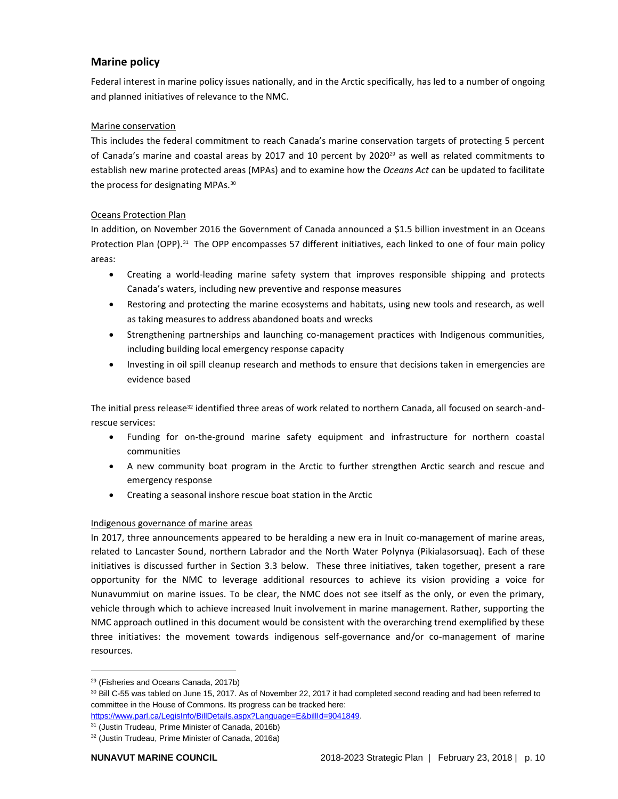# <span id="page-9-0"></span>**Marine policy**

Federal interest in marine policy issues nationally, and in the Arctic specifically, has led to a number of ongoing and planned initiatives of relevance to the NMC.

# Marine conservation

This includes the federal commitment to reach Canada's marine conservation targets of protecting 5 percent of Canada's marine and coastal areas by 2017 and 10 percent by 2020 $^{29}$  as well as related commitments to establish new marine protected areas (MPAs) and to examine how the *Oceans Act* can be updated to facilitate the process for designating MPAs.<sup>30</sup>

# Oceans Protection Plan

In addition, on November 2016 the Government of Canada announced a \$1.5 billion investment in an Oceans Protection Plan (OPP).<sup>31</sup> The OPP encompasses 57 different initiatives, each linked to one of four main policy areas:

- Creating a world-leading marine safety system that improves responsible shipping and protects Canada's waters, including new preventive and response measures
- Restoring and protecting the marine ecosystems and habitats, using new tools and research, as well as taking measures to address abandoned boats and wrecks
- Strengthening partnerships and launching co-management practices with Indigenous communities, including building local emergency response capacity
- Investing in oil spill cleanup research and methods to ensure that decisions taken in emergencies are evidence based

The initial press release<sup>32</sup> identified three areas of work related to northern Canada, all focused on search-andrescue services:

- Funding for on-the-ground marine safety equipment and infrastructure for northern coastal communities
- A new community boat program in the Arctic to further strengthen Arctic search and rescue and emergency response
- Creating a seasonal inshore rescue boat station in the Arctic

# Indigenous governance of marine areas

In 2017, three announcements appeared to be heralding a new era in Inuit co-management of marine areas, related to Lancaster Sound, northern Labrador and the North Water Polynya (Pikialasorsuaq). Each of these initiatives is discussed further in Section 3.3 below. These three initiatives, taken together, present a rare opportunity for the NMC to leverage additional resources to achieve its vision providing a voice for Nunavummiut on marine issues. To be clear, the NMC does not see itself as the only, or even the primary, vehicle through which to achieve increased Inuit involvement in marine management. Rather, supporting the NMC approach outlined in this document would be consistent with the overarching trend exemplified by these three initiatives: the movement towards indigenous self-governance and/or co-management of marine resources.

<sup>29</sup> (Fisheries and Oceans Canada, 2017b)

<sup>&</sup>lt;sup>30</sup> Bill C-55 was tabled on June 15, 2017. As of November 22, 2017 it had completed second reading and had been referred to committee in the House of Commons. Its progress can be tracked here:

https://www.parl.ca/LegisInfo/BillDetails.aspx?Language=E&billId=9041849.

<sup>31</sup> (Justin Trudeau, Prime Minister of Canada, 2016b)

<sup>32</sup> (Justin Trudeau, Prime Minister of Canada, 2016a)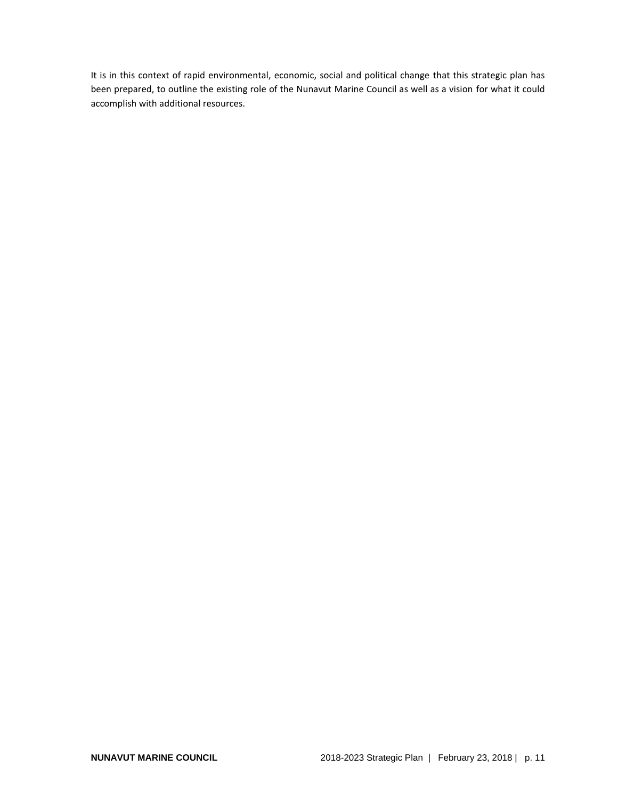It is in this context of rapid environmental, economic, social and political change that this strategic plan has been prepared, to outline the existing role of the Nunavut Marine Council as well as a vision for what it could accomplish with additional resources.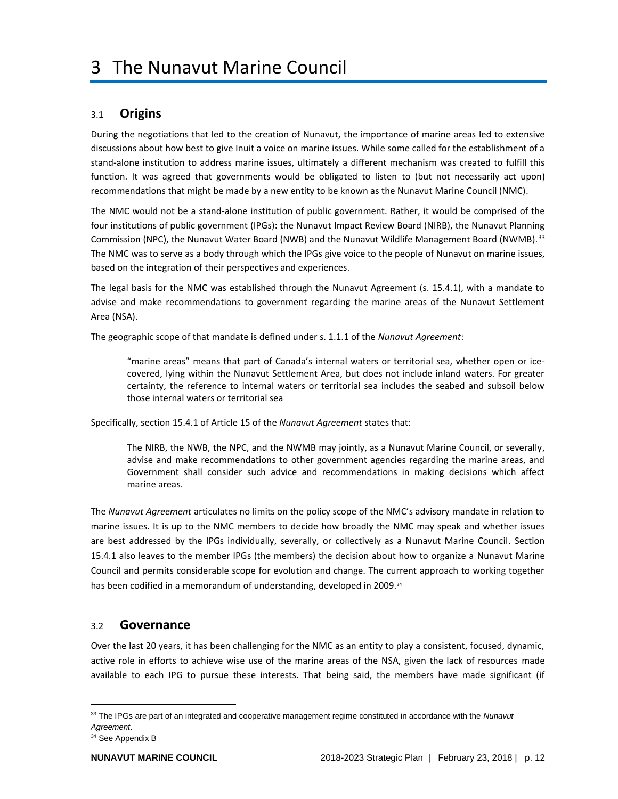# <span id="page-11-1"></span><span id="page-11-0"></span>3.1 **Origins**

During the negotiations that led to the creation of Nunavut, the importance of marine areas led to extensive discussions about how best to give Inuit a voice on marine issues. While some called for the establishment of a stand-alone institution to address marine issues, ultimately a different mechanism was created to fulfill this function. It was agreed that governments would be obligated to listen to (but not necessarily act upon) recommendations that might be made by a new entity to be known as the Nunavut Marine Council (NMC).

The NMC would not be a stand-alone institution of public government. Rather, it would be comprised of the four institutions of public government (IPGs): the Nunavut Impact Review Board (NIRB), the Nunavut Planning Commission (NPC), the Nunavut Water Board (NWB) and the Nunavut Wildlife Management Board (NWMB).<sup>33</sup> The NMC was to serve as a body through which the IPGs give voice to the people of Nunavut on marine issues, based on the integration of their perspectives and experiences.

The legal basis for the NMC was established through the Nunavut Agreement (s. 15.4.1), with a mandate to advise and make recommendations to government regarding the marine areas of the Nunavut Settlement Area (NSA).

The geographic scope of that mandate is defined under s. 1.1.1 of the *Nunavut Agreement*:

"marine areas" means that part of Canada's internal waters or territorial sea, whether open or icecovered, lying within the Nunavut Settlement Area, but does not include inland waters. For greater certainty, the reference to internal waters or territorial sea includes the seabed and subsoil below those internal waters or territorial sea

Specifically, section 15.4.1 of Article 15 of the *Nunavut Agreement* states that:

The NIRB, the NWB, the NPC, and the NWMB may jointly, as a Nunavut Marine Council, or severally, advise and make recommendations to other government agencies regarding the marine areas, and Government shall consider such advice and recommendations in making decisions which affect marine areas.

The *Nunavut Agreement* articulates no limits on the policy scope of the NMC's advisory mandate in relation to marine issues. It is up to the NMC members to decide how broadly the NMC may speak and whether issues are best addressed by the IPGs individually, severally, or collectively as a Nunavut Marine Council. Section 15.4.1 also leaves to the member IPGs (the members) the decision about how to organize a Nunavut Marine Council and permits considerable scope for evolution and change. The current approach to working together has been codified in a memorandum of understanding, developed in 2009. 34

# <span id="page-11-2"></span>3.2 **Governance**

Over the last 20 years, it has been challenging for the NMC as an entity to play a consistent, focused, dynamic, active role in efforts to achieve wise use of the marine areas of the NSA, given the lack of resources made available to each IPG to pursue these interests. That being said, the members have made significant (if

<sup>33</sup> The IPGs are part of an integrated and cooperative management regime constituted in accordance with the *Nunavut Agreement*.

<sup>&</sup>lt;sup>34</sup> See Appendix B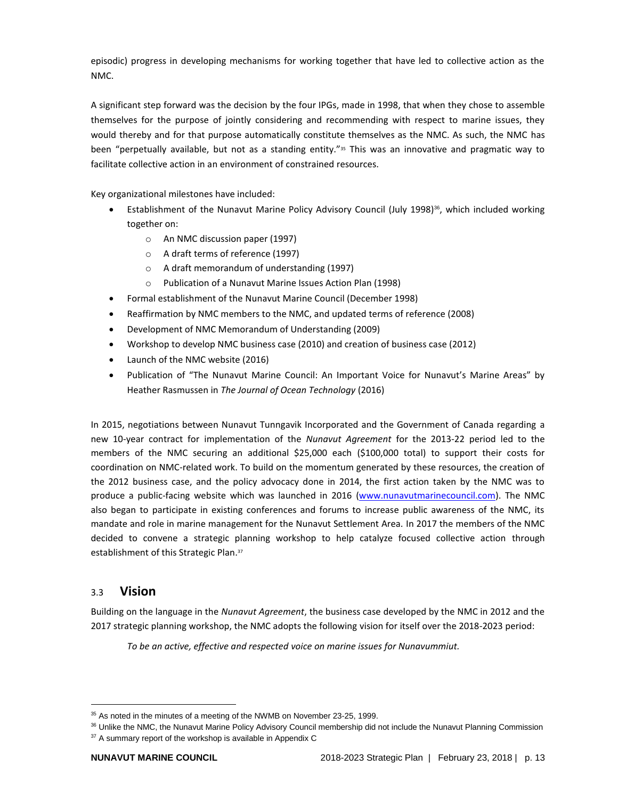episodic) progress in developing mechanisms for working together that have led to collective action as the NMC.

A significant step forward was the decision by the four IPGs, made in 1998, that when they chose to assemble themselves for the purpose of jointly considering and recommending with respect to marine issues, they would thereby and for that purpose automatically constitute themselves as the NMC. As such, the NMC has been "perpetually available, but not as a standing entity."<sup>35</sup> This was an innovative and pragmatic way to facilitate collective action in an environment of constrained resources.

Key organizational milestones have included:

- Establishment of the Nunavut Marine Policy Advisory Council (July 1998)<sup>36</sup>, which included working together on:
	- o An NMC discussion paper (1997)
	- o A draft terms of reference (1997)
	- o A draft memorandum of understanding (1997)
	- o Publication of a Nunavut Marine Issues Action Plan (1998)
- Formal establishment of the Nunavut Marine Council (December 1998)
- Reaffirmation by NMC members to the NMC, and updated terms of reference (2008)
- Development of NMC Memorandum of Understanding (2009)
- Workshop to develop NMC business case (2010) and creation of business case (2012)
- Launch of the NMC website (2016)
- Publication of "The Nunavut Marine Council: An Important Voice for Nunavut's Marine Areas" by Heather Rasmussen in *The Journal of Ocean Technology* (2016)

In 2015, negotiations between Nunavut Tunngavik Incorporated and the Government of Canada regarding a new 10-year contract for implementation of the *Nunavut Agreement* for the 2013-22 period led to the members of the NMC securing an additional \$25,000 each (\$100,000 total) to support their costs for coordination on NMC-related work. To build on the momentum generated by these resources, the creation of the 2012 business case, and the policy advocacy done in 2014, the first action taken by the NMC was to produce a public-facing website which was launched in 2016 [\(www.nunavutmarinecouncil.com\)](http://www.nunavutmarinecouncil.com/). The NMC also began to participate in existing conferences and forums to increase public awareness of the NMC, its mandate and role in marine management for the Nunavut Settlement Area. In 2017 the members of the NMC decided to convene a strategic planning workshop to help catalyze focused collective action through establishment of this Strategic Plan. 37

# <span id="page-12-0"></span>3.3 **Vision**

l

Building on the language in the *Nunavut Agreement*, the business case developed by the NMC in 2012 and the 2017 strategic planning workshop, the NMC adopts the following vision for itself over the 2018-2023 period:

*To be an active, effective and respected voice on marine issues for Nunavummiut.*

<sup>&</sup>lt;sup>35</sup> As noted in the minutes of a meeting of the NWMB on November 23-25, 1999.

<sup>&</sup>lt;sup>36</sup> Unlike the NMC, the Nunavut Marine Policy Advisory Council membership did not include the Nunavut Planning Commission <sup>37</sup> A summary report of the workshop is available in Appendix C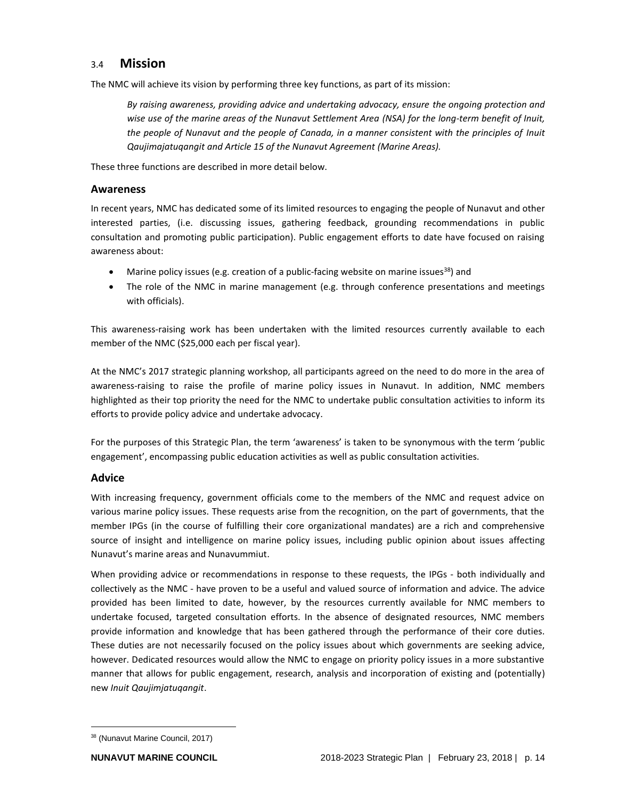# <span id="page-13-0"></span>3.4 **Mission**

The NMC will achieve its vision by performing three key functions, as part of its mission:

*By raising awareness, providing advice and undertaking advocacy, ensure the ongoing protection and wise use of the marine areas of the Nunavut Settlement Area (NSA) for the long-term benefit of Inuit, the people of Nunavut and the people of Canada, in a manner consistent with the principles of Inuit Qaujimajatuqangit and Article 15 of the Nunavut Agreement (Marine Areas).*

These three functions are described in more detail below.

# <span id="page-13-1"></span>**Awareness**

In recent years, NMC has dedicated some of its limited resources to engaging the people of Nunavut and other interested parties, (i.e. discussing issues, gathering feedback, grounding recommendations in public consultation and promoting public participation). Public engagement efforts to date have focused on raising awareness about:

- Marine policy issues (e.g. creation of a public-facing website on marine issues<sup>38</sup>) and
- The role of the NMC in marine management (e.g. through conference presentations and meetings with officials).

This awareness-raising work has been undertaken with the limited resources currently available to each member of the NMC (\$25,000 each per fiscal year).

At the NMC's 2017 strategic planning workshop, all participants agreed on the need to do more in the area of awareness-raising to raise the profile of marine policy issues in Nunavut. In addition, NMC members highlighted as their top priority the need for the NMC to undertake public consultation activities to inform its efforts to provide policy advice and undertake advocacy.

For the purposes of this Strategic Plan, the term 'awareness' is taken to be synonymous with the term 'public engagement', encompassing public education activities as well as public consultation activities.

# <span id="page-13-2"></span>**Advice**

With increasing frequency, government officials come to the members of the NMC and request advice on various marine policy issues. These requests arise from the recognition, on the part of governments, that the member IPGs (in the course of fulfilling their core organizational mandates) are a rich and comprehensive source of insight and intelligence on marine policy issues, including public opinion about issues affecting Nunavut's marine areas and Nunavummiut.

When providing advice or recommendations in response to these requests, the IPGs - both individually and collectively as the NMC - have proven to be a useful and valued source of information and advice. The advice provided has been limited to date, however, by the resources currently available for NMC members to undertake focused, targeted consultation efforts. In the absence of designated resources, NMC members provide information and knowledge that has been gathered through the performance of their core duties. These duties are not necessarily focused on the policy issues about which governments are seeking advice, however. Dedicated resources would allow the NMC to engage on priority policy issues in a more substantive manner that allows for public engagement, research, analysis and incorporation of existing and (potentially) new *Inuit Qaujimjatuqangit*.

<sup>38</sup> (Nunavut Marine Council, 2017)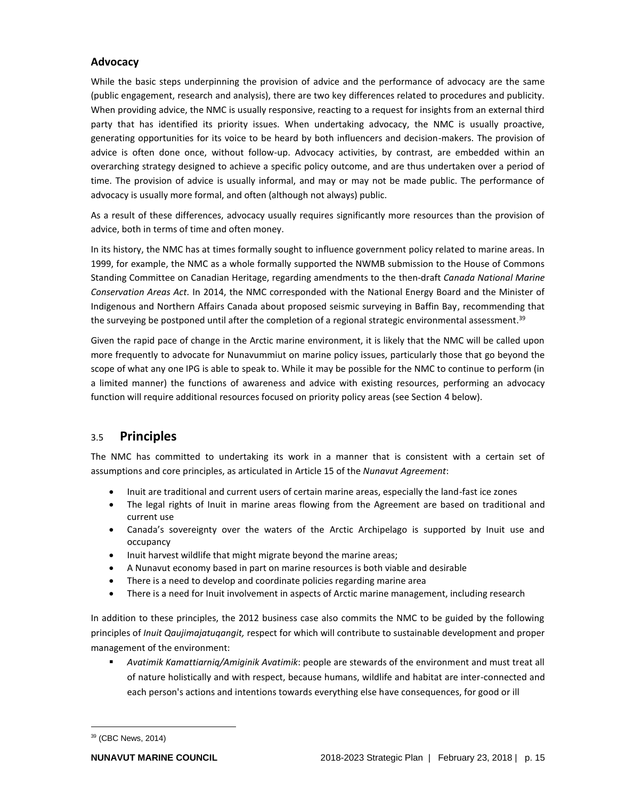# <span id="page-14-0"></span>**Advocacy**

While the basic steps underpinning the provision of advice and the performance of advocacy are the same (public engagement, research and analysis), there are two key differences related to procedures and publicity. When providing advice, the NMC is usually responsive, reacting to a request for insights from an external third party that has identified its priority issues. When undertaking advocacy, the NMC is usually proactive, generating opportunities for its voice to be heard by both influencers and decision-makers. The provision of advice is often done once, without follow-up. Advocacy activities, by contrast, are embedded within an overarching strategy designed to achieve a specific policy outcome, and are thus undertaken over a period of time. The provision of advice is usually informal, and may or may not be made public. The performance of advocacy is usually more formal, and often (although not always) public.

As a result of these differences, advocacy usually requires significantly more resources than the provision of advice, both in terms of time and often money.

In its history, the NMC has at times formally sought to influence government policy related to marine areas. In 1999, for example, the NMC as a whole formally supported the NWMB submission to the House of Commons Standing Committee on Canadian Heritage, regarding amendments to the then-draft *Canada National Marine Conservation Areas Act.* In 2014, the NMC corresponded with the National Energy Board and the Minister of Indigenous and Northern Affairs Canada about proposed seismic surveying in Baffin Bay, recommending that the surveying be postponed until after the completion of a regional strategic environmental assessment.<sup>39</sup>

Given the rapid pace of change in the Arctic marine environment, it is likely that the NMC will be called upon more frequently to advocate for Nunavummiut on marine policy issues, particularly those that go beyond the scope of what any one IPG is able to speak to. While it may be possible for the NMC to continue to perform (in a limited manner) the functions of awareness and advice with existing resources, performing an advocacy function will require additional resources focused on priority policy areas (see Section 4 below).

# <span id="page-14-1"></span>3.5 **Principles**

The NMC has committed to undertaking its work in a manner that is consistent with a certain set of assumptions and core principles, as articulated in Article 15 of the *Nunavut Agreement*:

- Inuit are traditional and current users of certain marine areas, especially the land-fast ice zones
- The legal rights of Inuit in marine areas flowing from the Agreement are based on traditional and current use
- Canada's sovereignty over the waters of the Arctic Archipelago is supported by Inuit use and occupancy
- Inuit harvest wildlife that might migrate beyond the marine areas;
- A Nunavut economy based in part on marine resources is both viable and desirable
- There is a need to develop and coordinate policies regarding marine area
- There is a need for Inuit involvement in aspects of Arctic marine management, including research

In addition to these principles, the 2012 business case also commits the NMC to be guided by the following principles of *Inuit Qaujimajatuqangit,* respect for which will contribute to sustainable development and proper management of the environment:

▪ *Avatimik Kamattiarniq/Amiginik Avatimik*: people are stewards of the environment and must treat all of nature holistically and with respect, because humans, wildlife and habitat are inter-connected and each person's actions and intentions towards everything else have consequences, for good or ill

<sup>39</sup> (CBC News, 2014)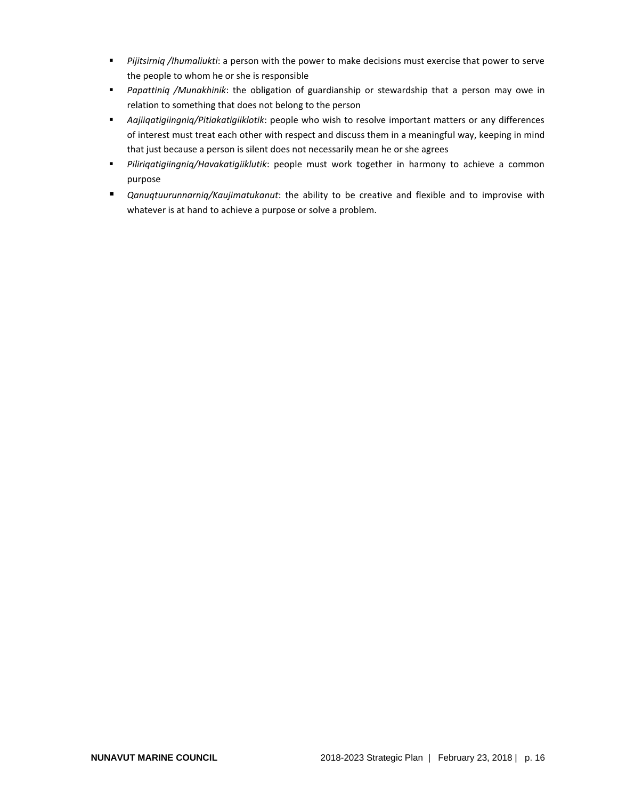- *Pijitsirniq /Ihumaliukti*: a person with the power to make decisions must exercise that power to serve the people to whom he or she is responsible
- *Papattiniq /Munakhinik*: the obligation of guardianship or stewardship that a person may owe in relation to something that does not belong to the person
- *Aajiiqatigiingniq/Pitiakatigiiklotik*: people who wish to resolve important matters or any differences of interest must treat each other with respect and discuss them in a meaningful way, keeping in mind that just because a person is silent does not necessarily mean he or she agrees
- *Piliriqatigiingniq/Havakatigiiklutik*: people must work together in harmony to achieve a common purpose
- <span id="page-15-0"></span>■ *Qanuqtuurunnarniq/Kaujimatukanut*: the ability to be creative and flexible and to improvise with whatever is at hand to achieve a purpose or solve a problem.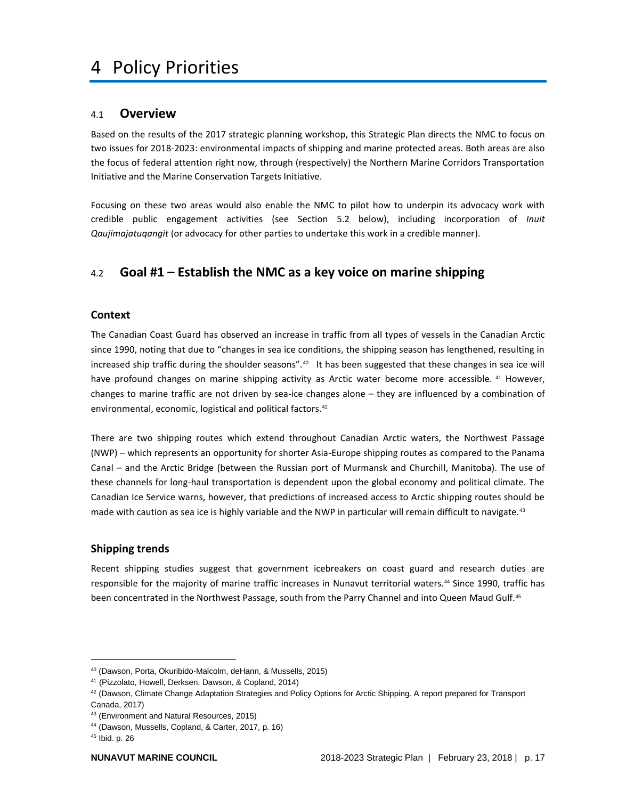# <span id="page-16-0"></span>4.1 **Overview**

Based on the results of the 2017 strategic planning workshop, this Strategic Plan directs the NMC to focus on two issues for 2018-2023: environmental impacts of shipping and marine protected areas. Both areas are also the focus of federal attention right now, through (respectively) the Northern Marine Corridors Transportation Initiative and the Marine Conservation Targets Initiative.

Focusing on these two areas would also enable the NMC to pilot how to underpin its advocacy work with credible public engagement activities (see Section 5.2 below), including incorporation of *Inuit Qaujimajatuqangit* (or advocacy for other parties to undertake this work in a credible manner).

# <span id="page-16-1"></span>4.2 **Goal #1 – Establish the NMC as a key voice on marine shipping**

# <span id="page-16-2"></span>**Context**

The Canadian Coast Guard has observed an increase in traffic from all types of vessels in the Canadian Arctic since 1990, noting that due to "changes in sea ice conditions, the shipping season has lengthened, resulting in increased ship traffic during the shoulder seasons".<sup>40</sup> It has been suggested that these changes in sea ice will have profound changes on marine shipping activity as Arctic water become more accessible. <sup>41</sup> However, changes to marine traffic are not driven by sea-ice changes alone – they are influenced by a combination of environmental, economic, logistical and political factors.<sup>42</sup>

There are two shipping routes which extend throughout Canadian Arctic waters, the Northwest Passage (NWP) – which represents an opportunity for shorter Asia-Europe shipping routes as compared to the Panama Canal – and the Arctic Bridge (between the Russian port of Murmansk and Churchill, Manitoba). The use of these channels for long-haul transportation is dependent upon the global economy and political climate. The Canadian Ice Service warns, however, that predictions of increased access to Arctic shipping routes should be made with caution as sea ice is highly variable and the NWP in particular will remain difficult to navigate.<sup>43</sup>

# <span id="page-16-3"></span>**Shipping trends**

Recent shipping studies suggest that government icebreakers on coast guard and research duties are responsible for the majority of marine traffic increases in Nunavut territorial waters.<sup>44</sup> Since 1990, traffic has been concentrated in the Northwest Passage, south from the Parry Channel and into Queen Maud Gulf.<sup>45</sup>

<sup>40</sup> (Dawson, Porta, Okuribido-Malcolm, deHann, & Mussells, 2015)

<sup>41</sup> (Pizzolato, Howell, Derksen, Dawson, & Copland, 2014)

 $42$  (Dawson, Climate Change Adaptation Strategies and Policy Options for Arctic Shipping. A report prepared for Transport Canada, 2017)

<sup>43</sup> (Environment and Natural Resources, 2015)

<sup>44</sup> (Dawson, Mussells, Copland, & Carter, 2017, p. 16)

<sup>45</sup> Ibid. p. 26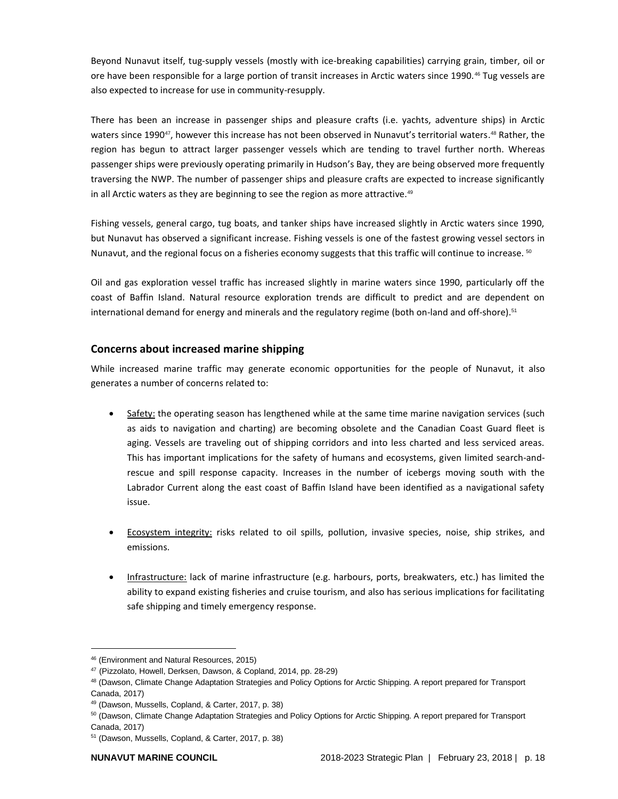Beyond Nunavut itself, tug-supply vessels (mostly with ice-breaking capabilities) carrying grain, timber, oil or ore have been responsible for a large portion of transit increases in Arctic waters since 1990.<sup>46</sup> Tug vessels are also expected to increase for use in community-resupply.

There has been an increase in passenger ships and pleasure crafts (i.e. yachts, adventure ships) in Arctic waters since 1990<sup>47</sup>, however this increase has not been observed in Nunavut's territorial waters.<sup>48</sup> Rather, the region has begun to attract larger passenger vessels which are tending to travel further north. Whereas passenger ships were previously operating primarily in Hudson's Bay, they are being observed more frequently traversing the NWP. The number of passenger ships and pleasure crafts are expected to increase significantly in all Arctic waters as they are beginning to see the region as more attractive. $49$ 

Fishing vessels, general cargo, tug boats, and tanker ships have increased slightly in Arctic waters since 1990, but Nunavut has observed a significant increase. Fishing vessels is one of the fastest growing vessel sectors in Nunavut, and the regional focus on a fisheries economy suggests that this traffic will continue to increase. 50

Oil and gas exploration vessel traffic has increased slightly in marine waters since 1990, particularly off the coast of Baffin Island. Natural resource exploration trends are difficult to predict and are dependent on international demand for energy and minerals and the regulatory regime (both on-land and off-shore).<sup>51</sup>

# <span id="page-17-0"></span>**Concerns about increased marine shipping**

While increased marine traffic may generate economic opportunities for the people of Nunavut, it also generates a number of concerns related to:

- Safety: the operating season has lengthened while at the same time marine navigation services (such as aids to navigation and charting) are becoming obsolete and the Canadian Coast Guard fleet is aging. Vessels are traveling out of shipping corridors and into less charted and less serviced areas. This has important implications for the safety of humans and ecosystems, given limited search-andrescue and spill response capacity. Increases in the number of icebergs moving south with the Labrador Current along the east coast of Baffin Island have been identified as a navigational safety issue.
- Ecosystem integrity: risks related to oil spills, pollution, invasive species, noise, ship strikes, and emissions.
- Infrastructure: lack of marine infrastructure (e.g. harbours, ports, breakwaters, etc.) has limited the ability to expand existing fisheries and cruise tourism, and also has serious implications for facilitating safe shipping and timely emergency response.

<sup>46</sup> (Environment and Natural Resources, 2015)

<sup>47</sup> (Pizzolato, Howell, Derksen, Dawson, & Copland, 2014, pp. 28-29)

<sup>48 (</sup>Dawson, Climate Change Adaptation Strategies and Policy Options for Arctic Shipping. A report prepared for Transport Canada, 2017)

<sup>49</sup> (Dawson, Mussells, Copland, & Carter, 2017, p. 38)

<sup>&</sup>lt;sup>50</sup> (Dawson, Climate Change Adaptation Strategies and Policy Options for Arctic Shipping. A report prepared for Transport Canada, 2017)

<sup>51</sup> (Dawson, Mussells, Copland, & Carter, 2017, p. 38)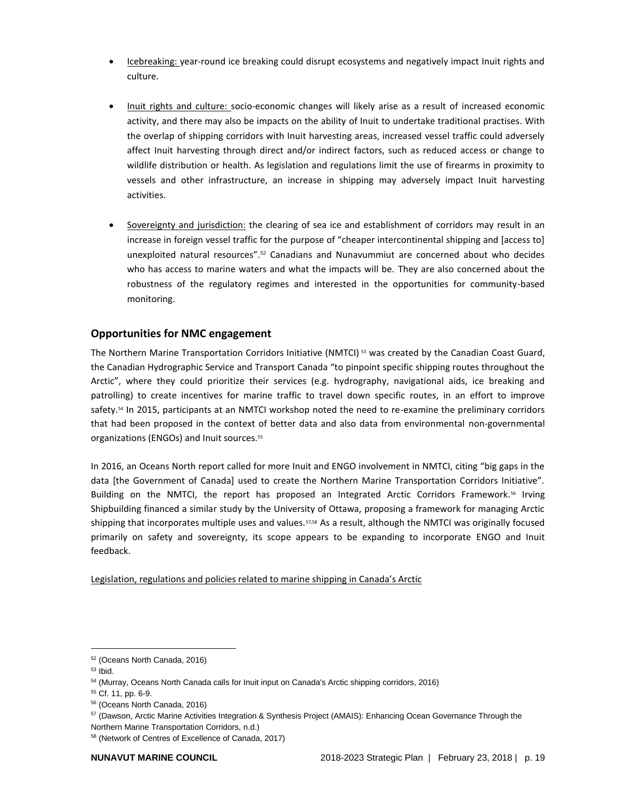- Icebreaking: year-round ice breaking could disrupt ecosystems and negatively impact Inuit rights and culture.
- Inuit rights and culture: socio-economic changes will likely arise as a result of increased economic activity, and there may also be impacts on the ability of Inuit to undertake traditional practises. With the overlap of shipping corridors with Inuit harvesting areas, increased vessel traffic could adversely affect Inuit harvesting through direct and/or indirect factors, such as reduced access or change to wildlife distribution or health. As legislation and regulations limit the use of firearms in proximity to vessels and other infrastructure, an increase in shipping may adversely impact Inuit harvesting activities.
- Sovereignty and jurisdiction: the clearing of sea ice and establishment of corridors may result in an increase in foreign vessel traffic for the purpose of "cheaper intercontinental shipping and [access to] unexploited natural resources".<sup>52</sup> Canadians and Nunavummiut are concerned about who decides who has access to marine waters and what the impacts will be. They are also concerned about the robustness of the regulatory regimes and interested in the opportunities for community-based monitoring.

# <span id="page-18-0"></span>**Opportunities for NMC engagement**

The Northern Marine Transportation Corridors Initiative (NMTCI)<sup>53</sup> was created by the Canadian Coast Guard, the Canadian Hydrographic Service and Transport Canada "to pinpoint specific shipping routes throughout the Arctic", where they could prioritize their services (e.g. hydrography, navigational aids, ice breaking and patrolling) to create incentives for marine traffic to travel down specific routes, in an effort to improve safety.<sup>54</sup> In 2015, participants at an NMTCI workshop noted the need to re-examine the preliminary corridors that had been proposed in the context of better data and also data from environmental non-governmental organizations (ENGOs) and Inuit sources.<sup>55</sup>

In 2016, an Oceans North report called for more Inuit and ENGO involvement in NMTCI, citing "big gaps in the data [the Government of Canada] used to create the Northern Marine Transportation Corridors Initiative". Building on the NMTCI, the report has proposed an Integrated Arctic Corridors Framework.<sup>56</sup> Irving Shipbuilding financed a similar study by the University of Ottawa, proposing a framework for managing Arctic shipping that incorporates multiple uses and values. 57,58 As a result, although the NMTCI was originally focused primarily on safety and sovereignty, its scope appears to be expanding to incorporate ENGO and Inuit feedback.

Legislation, regulations and policies related to marine shipping in Canada's Arctic

<sup>52</sup> (Oceans North Canada, 2016)

<sup>53</sup> Ibid.

<sup>&</sup>lt;sup>54</sup> (Murray, Oceans North Canada calls for Inuit input on Canada's Arctic shipping corridors, 2016)

<sup>55</sup> Cf. 11, pp. 6-9.

<sup>56</sup> (Oceans North Canada, 2016)

<sup>57</sup> (Dawson, Arctic Marine Activities Integration & Synthesis Project (AMAIS): Enhancing Ocean Governance Through the Northern Marine Transportation Corridors, n.d.)

<sup>58</sup> (Network of Centres of Excellence of Canada, 2017)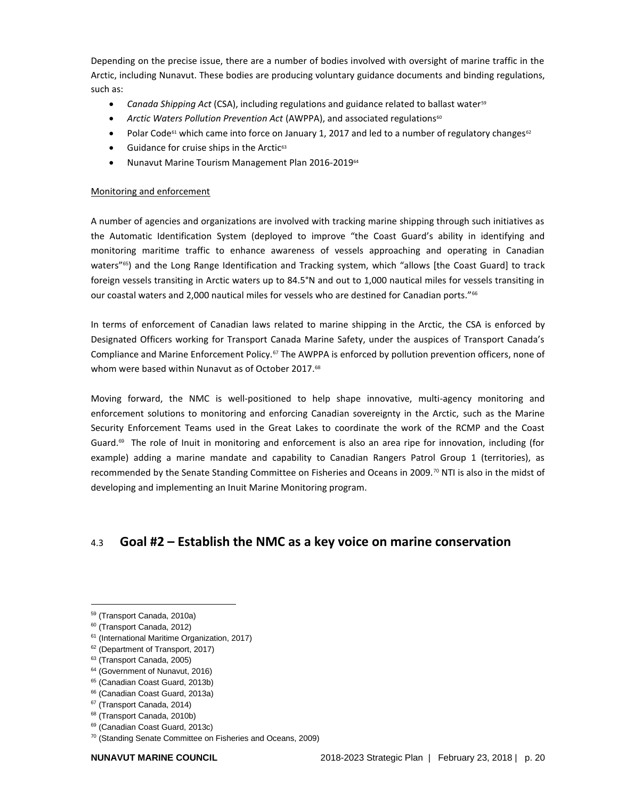Depending on the precise issue, there are a number of bodies involved with oversight of marine traffic in the Arctic, including Nunavut. These bodies are producing voluntary guidance documents and binding regulations, such as:

- *Canada Shipping Act* (CSA), including regulations and guidance related to ballast water<sup>59</sup>
- *Arctic Waters Pollution Prevention Act* (AWPPA), and associated regulations<sup>60</sup>
- Polar Code<sup>61</sup> which came into force on January 1, 2017 and led to a number of regulatory changes<sup>62</sup>
- $\bullet$  Guidance for cruise ships in the Arctic<sup>63</sup>
- Nunavut Marine Tourism Management Plan 2016-2019<sup>64</sup>

## Monitoring and enforcement

A number of agencies and organizations are involved with tracking marine shipping through such initiatives as the Automatic Identification System (deployed to improve "the Coast Guard's ability in identifying and monitoring maritime traffic to enhance awareness of vessels approaching and operating in Canadian waters"<sup>65</sup>) and the Long Range Identification and Tracking system, which "allows [the Coast Guard] to track foreign vessels transiting in Arctic waters up to 84.5°N and out to 1,000 nautical miles for vessels transiting in our coastal waters and 2,000 nautical miles for vessels who are destined for Canadian ports."<sup>66</sup>

In terms of enforcement of Canadian laws related to marine shipping in the Arctic, the CSA is enforced by Designated Officers working for Transport Canada Marine Safety, under the auspices of Transport Canada's Compliance and Marine Enforcement Policy.<sup>67</sup> The AWPPA is enforced by pollution prevention officers, none of whom were based within Nunavut as of October 2017. 68

Moving forward, the NMC is well-positioned to help shape innovative, multi-agency monitoring and enforcement solutions to monitoring and enforcing Canadian sovereignty in the Arctic, such as the Marine Security Enforcement Teams used in the Great Lakes to coordinate the work of the RCMP and the Coast Guard.<sup>69</sup> The role of Inuit in monitoring and enforcement is also an area ripe for innovation, including (for example) adding a marine mandate and capability to Canadian Rangers Patrol Group 1 (territories), as recommended by the Senate Standing Committee on Fisheries and Oceans in 2009.<sup>70</sup> NTI is also in the midst of developing and implementing an Inuit Marine Monitoring program.

# <span id="page-19-0"></span>4.3 **Goal #2 – Establish the NMC as a key voice on marine conservation**

- <sup>61</sup> (International Maritime Organization, 2017)
- <sup>62</sup> (Department of Transport, 2017)
- <sup>63</sup> (Transport Canada, 2005)
- <sup>64</sup> (Government of Nunavut, 2016)
- <sup>65</sup> (Canadian Coast Guard, 2013b)
- <sup>66</sup> (Canadian Coast Guard, 2013a)
- <sup>67</sup> (Transport Canada, 2014)
- <sup>68</sup> (Transport Canada, 2010b)
- <sup>69</sup> (Canadian Coast Guard, 2013c)
- <sup>70</sup> (Standing Senate Committee on Fisheries and Oceans, 2009)

<sup>59</sup> (Transport Canada, 2010a)

<sup>60</sup> (Transport Canada, 2012)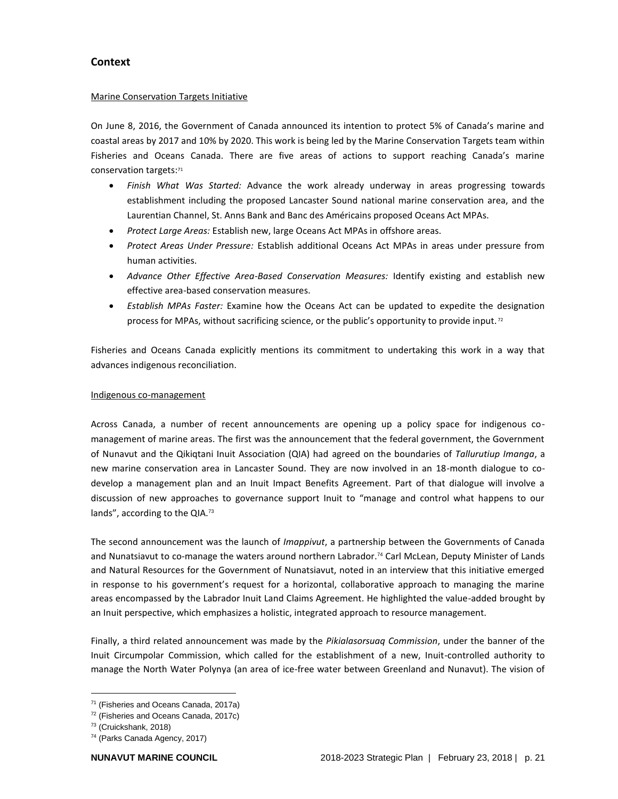# <span id="page-20-0"></span>**Context**

# Marine Conservation Targets Initiative

On June 8, 2016, the Government of Canada announced its intention to protect 5% of Canada's marine and coastal areas by 2017 and 10% by 2020. This work is being led by the Marine Conservation Targets team within Fisheries and Oceans Canada. There are five areas of actions to support reaching Canada's marine conservation targets:<sup>71</sup>

- *Finish What Was Started:* Advance the work already underway in areas progressing towards establishment including the proposed Lancaster Sound national marine conservation area, and the Laurentian Channel, St. Anns Bank and Banc des Américains proposed Oceans Act MPAs.
- *Protect Large Areas:* Establish new, large Oceans Act MPAs in offshore areas.
- *Protect Areas Under Pressure:* Establish additional Oceans Act MPAs in areas under pressure from human activities.
- *Advance Other Effective Area-Based Conservation Measures:* Identify existing and establish new effective area-based conservation measures.
- *Establish MPAs Faster:* Examine how the Oceans Act can be updated to expedite the designation process for MPAs, without sacrificing science, or the public's opportunity to provide input.<sup>72</sup>

Fisheries and Oceans Canada explicitly mentions its commitment to undertaking this work in a way that advances indigenous reconciliation.

# Indigenous co-management

Across Canada, a number of recent announcements are opening up a policy space for indigenous comanagement of marine areas. The first was the announcement that the federal government, the Government of Nunavut and the Qikiqtani Inuit Association (QIA) had agreed on the boundaries of *Tallurutiup Imanga*, a new marine conservation area in Lancaster Sound. They are now involved in an 18-month dialogue to codevelop a management plan and an Inuit Impact Benefits Agreement. Part of that dialogue will involve a discussion of new approaches to governance support Inuit to "manage and control what happens to our lands", according to the QIA.<sup>73</sup>

The second announcement was the launch of *Imappivut*, a partnership between the Governments of Canada and Nunatsiavut to co-manage the waters around northern Labrador.<sup>74</sup> Carl McLean, Deputy Minister of Lands and Natural Resources for the Government of Nunatsiavut, noted in an interview that this initiative emerged in response to his government's request for a horizontal, collaborative approach to managing the marine areas encompassed by the Labrador Inuit Land Claims Agreement. He highlighted the value-added brought by an Inuit perspective, which emphasizes a holistic, integrated approach to resource management.

Finally, a third related announcement was made by the *Pikialasorsuaq Commission*, under the banner of the Inuit Circumpolar Commission, which called for the establishment of a new, Inuit-controlled authority to manage the North Water Polynya (an area of ice-free water between Greenland and Nunavut). The vision of

<sup>71</sup> (Fisheries and Oceans Canada, 2017a)

<sup>72</sup> (Fisheries and Oceans Canada, 2017c)

<sup>73</sup> (Cruickshank, 2018)

<sup>74</sup> (Parks Canada Agency, 2017)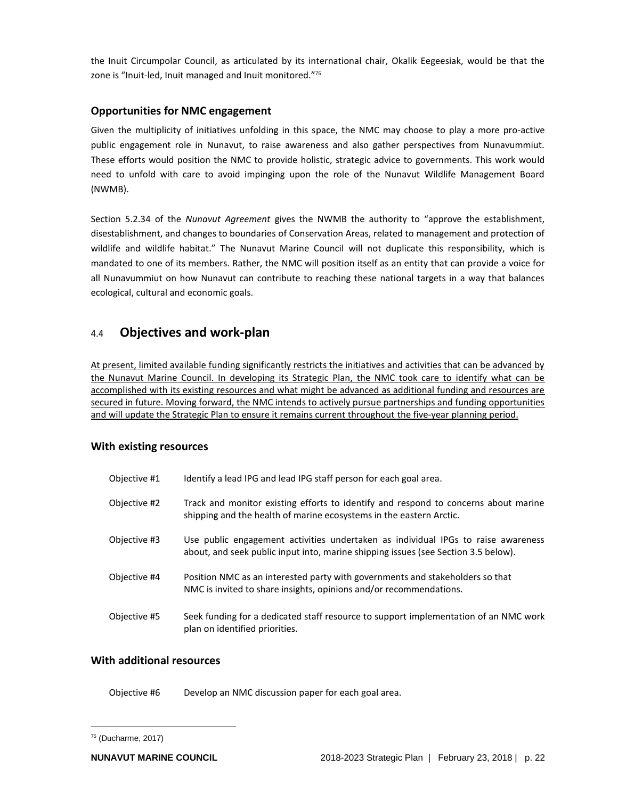the Inuit Circumpolar Council, as articulated by its international chair, Okalik Eegeesiak, would be that the zone is "Inuit-led, Inuit managed and Inuit monitored."<sup>75</sup>

# <span id="page-21-0"></span>**Opportunities for NMC engagement**

Given the multiplicity of initiatives unfolding in this space, the NMC may choose to play a more pro-active public engagement role in Nunavut, to raise awareness and also gather perspectives from Nunavummiut. These efforts would position the NMC to provide holistic, strategic advice to governments. This work would need to unfold with care to avoid impinging upon the role of the Nunavut Wildlife Management Board (NWMB).

Section 5.2.34 of the *Nunavut Agreement* gives the NWMB the authority to "approve the establishment, disestablishment, and changes to boundaries of Conservation Areas, related to management and protection of wildlife and wildlife habitat." The Nunavut Marine Council will not duplicate this responsibility, which is mandated to one of its members. Rather, the NMC will position itself as an entity that can provide a voice for all Nunavummiut on how Nunavut can contribute to reaching these national targets in a way that balances ecological, cultural and economic goals.

# <span id="page-21-1"></span>4.4 **Objectives and work-plan**

At present, limited available funding significantly restricts the initiatives and activities that can be advanced by the Nunavut Marine Council. In developing its Strategic Plan, the NMC took care to identify what can be accomplished with its existing resources and what might be advanced as additional funding and resources are secured in future. Moving forward, the NMC intends to actively pursue partnerships and funding opportunities and will update the Strategic Plan to ensure it remains current throughout the five-year planning period.

# <span id="page-21-2"></span>**With existing resources**

| Objective #1 | Identify a lead IPG and lead IPG staff person for each goal area.                                                                                                       |
|--------------|-------------------------------------------------------------------------------------------------------------------------------------------------------------------------|
| Objective #2 | Track and monitor existing efforts to identify and respond to concerns about marine<br>shipping and the health of marine ecosystems in the eastern Arctic.              |
| Objective #3 | Use public engagement activities undertaken as individual IPGs to raise awareness<br>about, and seek public input into, marine shipping issues (see Section 3.5 below). |
| Objective #4 | Position NMC as an interested party with governments and stakeholders so that<br>NMC is invited to share insights, opinions and/or recommendations.                     |
| Objective #5 | Seek funding for a dedicated staff resource to support implementation of an NMC work<br>plan on identified priorities.                                                  |

# <span id="page-21-3"></span>**With additional resources**

Objective #6 Develop an NMC discussion paper for each goal area.

 $75$  (Ducharme, 2017)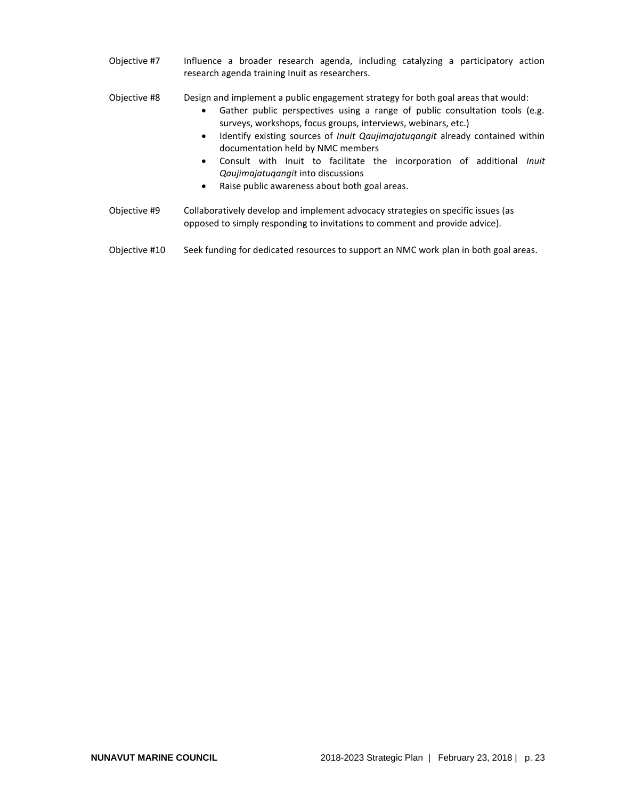- Objective #7 Influence a broader research agenda, including catalyzing a participatory action research agenda training Inuit as researchers.
- Objective #8 Design and implement a public engagement strategy for both goal areas that would:
	- Gather public perspectives using a range of public consultation tools (e.g. surveys, workshops, focus groups, interviews, webinars, etc.)
	- Identify existing sources of *Inuit Qaujimajatuqangit* already contained within documentation held by NMC members
	- Consult with Inuit to facilitate the incorporation of additional *Inuit Qaujimajatuqangit* into discussions
	- Raise public awareness about both goal areas.
- Objective #9 Collaboratively develop and implement advocacy strategies on specific issues (as opposed to simply responding to invitations to comment and provide advice).
- Objective #10 Seek funding for dedicated resources to support an NMC work plan in both goal areas.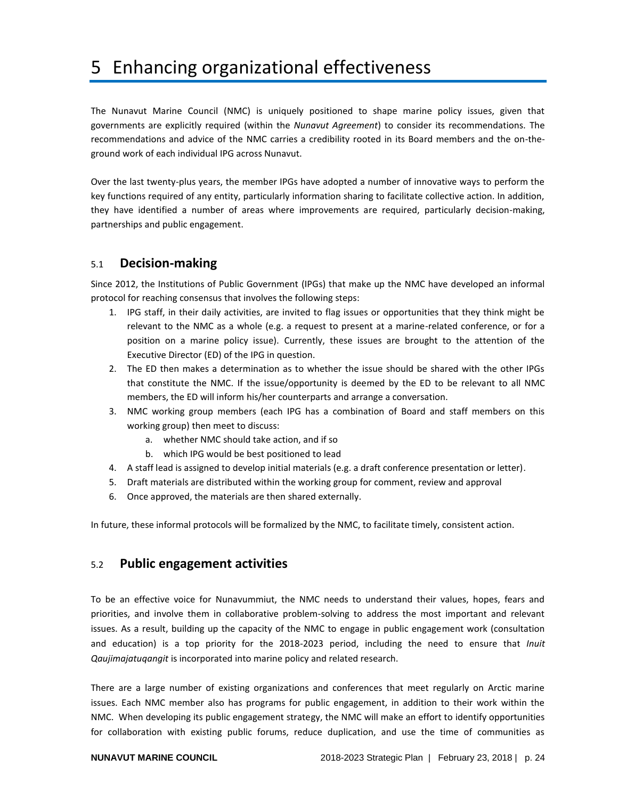# <span id="page-23-0"></span>5 Enhancing organizational effectiveness

The Nunavut Marine Council (NMC) is uniquely positioned to shape marine policy issues, given that governments are explicitly required (within the *Nunavut Agreement*) to consider its recommendations. The recommendations and advice of the NMC carries a credibility rooted in its Board members and the on-theground work of each individual IPG across Nunavut.

Over the last twenty-plus years, the member IPGs have adopted a number of innovative ways to perform the key functions required of any entity, particularly information sharing to facilitate collective action. In addition, they have identified a number of areas where improvements are required, particularly decision-making, partnerships and public engagement.

# <span id="page-23-1"></span>5.1 **Decision-making**

Since 2012, the Institutions of Public Government (IPGs) that make up the NMC have developed an informal protocol for reaching consensus that involves the following steps:

- 1. IPG staff, in their daily activities, are invited to flag issues or opportunities that they think might be relevant to the NMC as a whole (e.g. a request to present at a marine-related conference, or for a position on a marine policy issue). Currently, these issues are brought to the attention of the Executive Director (ED) of the IPG in question.
- 2. The ED then makes a determination as to whether the issue should be shared with the other IPGs that constitute the NMC. If the issue/opportunity is deemed by the ED to be relevant to all NMC members, the ED will inform his/her counterparts and arrange a conversation.
- 3. NMC working group members (each IPG has a combination of Board and staff members on this working group) then meet to discuss:
	- a. whether NMC should take action, and if so
	- b. which IPG would be best positioned to lead
- 4. A staff lead is assigned to develop initial materials (e.g. a draft conference presentation or letter).
- 5. Draft materials are distributed within the working group for comment, review and approval
- 6. Once approved, the materials are then shared externally.

<span id="page-23-2"></span>In future, these informal protocols will be formalized by the NMC, to facilitate timely, consistent action.

# 5.2 **Public engagement activities**

To be an effective voice for Nunavummiut, the NMC needs to understand their values, hopes, fears and priorities, and involve them in collaborative problem-solving to address the most important and relevant issues. As a result, building up the capacity of the NMC to engage in public engagement work (consultation and education) is a top priority for the 2018-2023 period, including the need to ensure that *Inuit Qaujimajatuqangit* is incorporated into marine policy and related research.

There are a large number of existing organizations and conferences that meet regularly on Arctic marine issues. Each NMC member also has programs for public engagement, in addition to their work within the NMC. When developing its public engagement strategy, the NMC will make an effort to identify opportunities for collaboration with existing public forums, reduce duplication, and use the time of communities as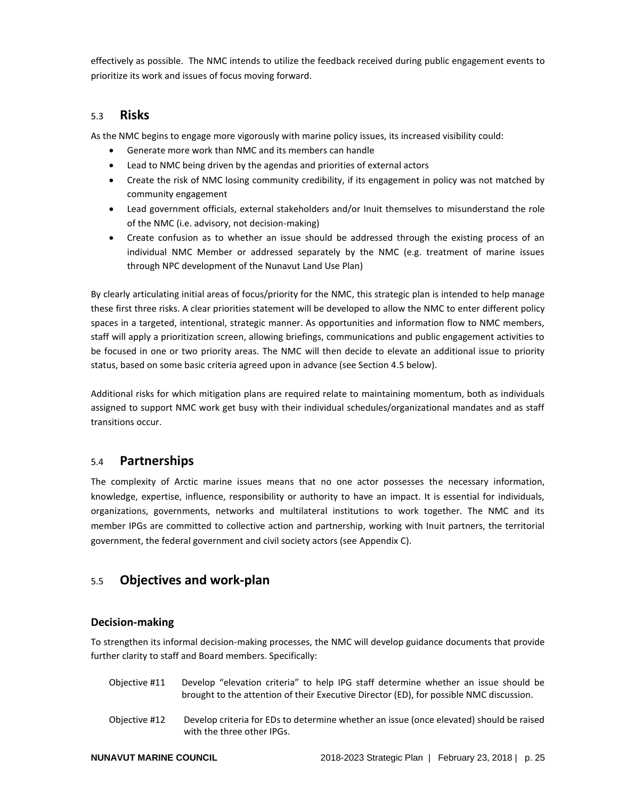effectively as possible. The NMC intends to utilize the feedback received during public engagement events to prioritize its work and issues of focus moving forward.

# <span id="page-24-0"></span>5.3 **Risks**

As the NMC begins to engage more vigorously with marine policy issues, its increased visibility could:

- Generate more work than NMC and its members can handle
- Lead to NMC being driven by the agendas and priorities of external actors
- Create the risk of NMC losing community credibility, if its engagement in policy was not matched by community engagement
- Lead government officials, external stakeholders and/or Inuit themselves to misunderstand the role of the NMC (i.e. advisory, not decision-making)
- Create confusion as to whether an issue should be addressed through the existing process of an individual NMC Member or addressed separately by the NMC (e.g. treatment of marine issues through NPC development of the Nunavut Land Use Plan)

By clearly articulating initial areas of focus/priority for the NMC, this strategic plan is intended to help manage these first three risks. A clear priorities statement will be developed to allow the NMC to enter different policy spaces in a targeted, intentional, strategic manner. As opportunities and information flow to NMC members, staff will apply a prioritization screen, allowing briefings, communications and public engagement activities to be focused in one or two priority areas. The NMC will then decide to elevate an additional issue to priority status, based on some basic criteria agreed upon in advance (see Section 4.5 below).

Additional risks for which mitigation plans are required relate to maintaining momentum, both as individuals assigned to support NMC work get busy with their individual schedules/organizational mandates and as staff transitions occur.

# <span id="page-24-1"></span>5.4 **Partnerships**

The complexity of Arctic marine issues means that no one actor possesses the necessary information, knowledge, expertise, influence, responsibility or authority to have an impact. It is essential for individuals, organizations, governments, networks and multilateral institutions to work together. The NMC and its member IPGs are committed to collective action and partnership, working with Inuit partners, the territorial government, the federal government and civil society actors (see Appendix C).

# <span id="page-24-2"></span>5.5 **Objectives and work-plan**

# <span id="page-24-3"></span>**Decision-making**

To strengthen its informal decision-making processes, the NMC will develop guidance documents that provide further clarity to staff and Board members. Specifically:

- Objective #11 Develop "elevation criteria" to help IPG staff determine whether an issue should be brought to the attention of their Executive Director (ED), for possible NMC discussion.
- Objective #12 Develop criteria for EDs to determine whether an issue (once elevated) should be raised with the three other IPGs.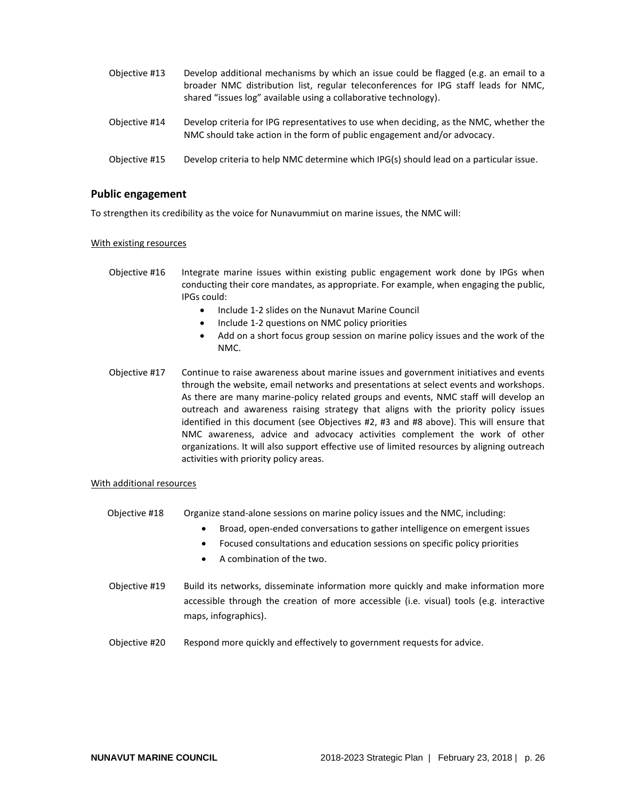| Objective #13 | Develop additional mechanisms by which an issue could be flagged (e.g. an email to a<br>broader NMC distribution list, regular teleconferences for IPG staff leads for NMC,<br>shared "issues log" available using a collaborative technology). |
|---------------|-------------------------------------------------------------------------------------------------------------------------------------------------------------------------------------------------------------------------------------------------|
| Objective #14 | Develop criteria for IPG representatives to use when deciding, as the NMC, whether the<br>NMC should take action in the form of public engagement and/or advocacy.                                                                              |
| Objective #15 | Develop criteria to help NMC determine which IPG(s) should lead on a particular issue.                                                                                                                                                          |

# <span id="page-25-0"></span>**Public engagement**

To strengthen its credibility as the voice for Nunavummiut on marine issues, the NMC will:

### With existing resources

- Objective #16 Integrate marine issues within existing public engagement work done by IPGs when conducting their core mandates, as appropriate. For example, when engaging the public, IPGs could:
	- Include 1-2 slides on the Nunavut Marine Council
	- Include 1-2 questions on NMC policy priorities
	- Add on a short focus group session on marine policy issues and the work of the NMC.
- Objective #17 Continue to raise awareness about marine issues and government initiatives and events through the website, email networks and presentations at select events and workshops. As there are many marine-policy related groups and events, NMC staff will develop an outreach and awareness raising strategy that aligns with the priority policy issues identified in this document (see Objectives #2, #3 and #8 above). This will ensure that NMC awareness, advice and advocacy activities complement the work of other organizations. It will also support effective use of limited resources by aligning outreach activities with priority policy areas.

### With additional resources

- Objective #18 Organize stand-alone sessions on marine policy issues and the NMC, including:
	- Broad, open-ended conversations to gather intelligence on emergent issues
	- Focused consultations and education sessions on specific policy priorities
	- A combination of the two.
- Objective #19 Build its networks, disseminate information more quickly and make information more accessible through the creation of more accessible (i.e. visual) tools (e.g. interactive maps, infographics).
- Objective #20 Respond more quickly and effectively to government requests for advice.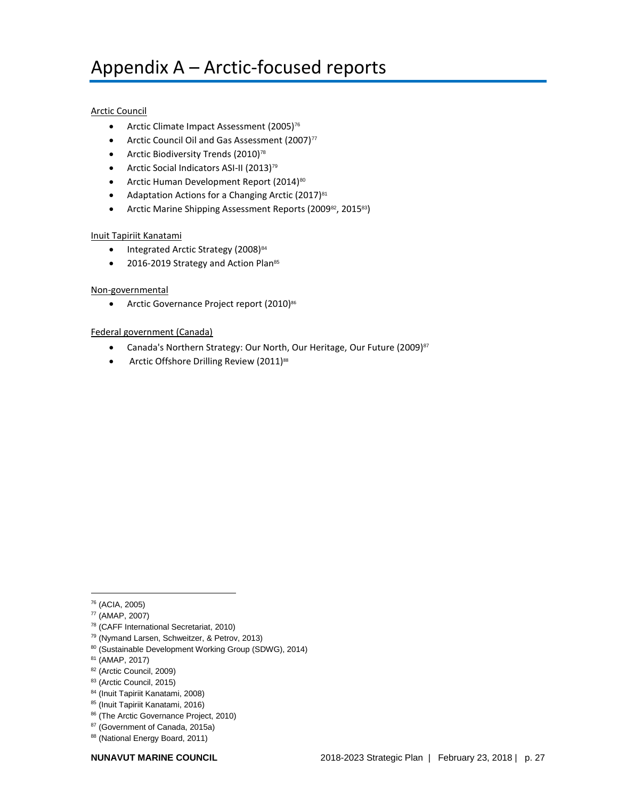# <span id="page-26-0"></span>Appendix A – Arctic-focused reports

# Arctic Council

- Arctic Climate Impact Assessment (2005)<sup>76</sup>
- Arctic Council Oil and Gas Assessment (2007) $77$
- Arctic Biodiversity Trends (2010)<sup>78</sup>
- Arctic Social Indicators ASI-II (2013)<sup>79</sup>
- Arctic Human Development Report (2014)<sup>80</sup>
- Adaptation Actions for a Changing Arctic (2017)<sup>81</sup>
- Arctic Marine Shipping Assessment Reports (2009<sup>82</sup>, 201583)

## Inuit Tapiriit Kanatami

- Integrated Arctic Strategy (2008)<sup>84</sup>
- 2016-2019 Strategy and Action Plan<sup>85</sup>

## Non-governmental

• Arctic Governance Project report (2010)<sup>86</sup>

## Federal government (Canada)

- Canada's Northern Strategy: Our North, Our Heritage, Our Future (2009)<sup>87</sup>
- Arctic Offshore Drilling Review (2011)<sup>88</sup>

- <sup>79</sup> (Nymand Larsen, Schweitzer, & Petrov, 2013)
- 80 (Sustainable Development Working Group (SDWG), 2014)
- <sup>81</sup> (AMAP, 2017)
- 82 (Arctic Council, 2009)
- 83 (Arctic Council, 2015)
- <sup>84</sup> (Inuit Tapiriit Kanatami, 2008)
- <sup>85</sup> (Inuit Tapiriit Kanatami, 2016)
- 86 (The Arctic Governance Project, 2010)
- <sup>87</sup> (Government of Canada, 2015a)
- 88 (National Energy Board, 2011)

<sup>76</sup> (ACIA, 2005)

<sup>77</sup> (AMAP, 2007)

<sup>78</sup> (CAFF International Secretariat, 2010)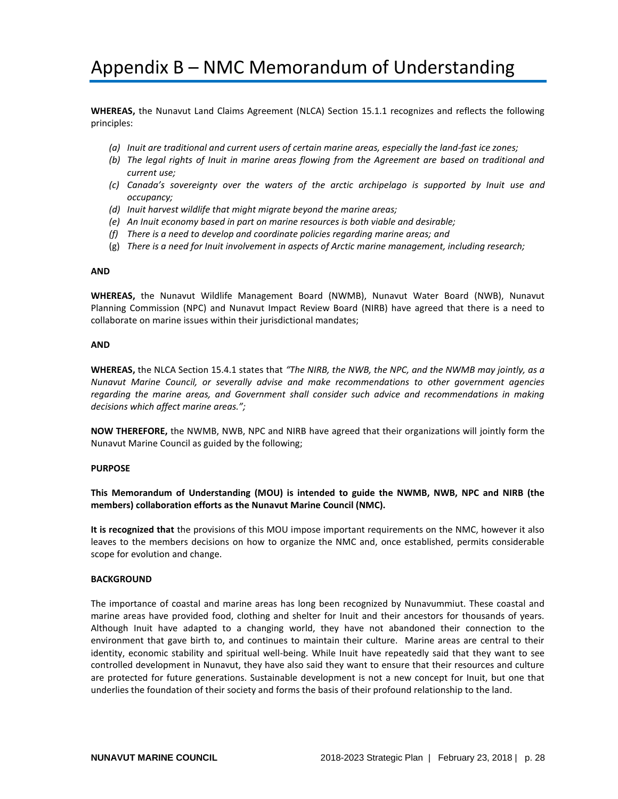# <span id="page-27-0"></span>Appendix B – NMC Memorandum of Understanding

**WHEREAS,** the Nunavut Land Claims Agreement (NLCA) Section 15.1.1 recognizes and reflects the following principles:

- *(a) Inuit are traditional and current users of certain marine areas, especially the land-fast ice zones;*
- *(b) The legal rights of Inuit in marine areas flowing from the Agreement are based on traditional and current use;*
- *(c) Canada's sovereignty over the waters of the arctic archipelago is supported by Inuit use and occupancy;*
- *(d) Inuit harvest wildlife that might migrate beyond the marine areas;*
- *(e) An Inuit economy based in part on marine resources is both viable and desirable;*
- *(f) There is a need to develop and coordinate policies regarding marine areas; and*
- (g) *There is a need for Inuit involvement in aspects of Arctic marine management, including research;*

#### **AND**

**WHEREAS,** the Nunavut Wildlife Management Board (NWMB), Nunavut Water Board (NWB), Nunavut Planning Commission (NPC) and Nunavut Impact Review Board (NIRB) have agreed that there is a need to collaborate on marine issues within their jurisdictional mandates;

#### **AND**

**WHEREAS,** the NLCA Section 15.4.1 states that *"The NIRB, the NWB, the NPC, and the NWMB may jointly, as a Nunavut Marine Council, or severally advise and make recommendations to other government agencies regarding the marine areas, and Government shall consider such advice and recommendations in making decisions which affect marine areas.";*

**NOW THEREFORE,** the NWMB, NWB, NPC and NIRB have agreed that their organizations will jointly form the Nunavut Marine Council as guided by the following;

#### **PURPOSE**

## **This Memorandum of Understanding (MOU) is intended to guide the NWMB, NWB, NPC and NIRB (the members) collaboration efforts as the Nunavut Marine Council (NMC).**

**It is recognized that** the provisions of this MOU impose important requirements on the NMC, however it also leaves to the members decisions on how to organize the NMC and, once established, permits considerable scope for evolution and change.

### **BACKGROUND**

The importance of coastal and marine areas has long been recognized by Nunavummiut. These coastal and marine areas have provided food, clothing and shelter for Inuit and their ancestors for thousands of years. Although Inuit have adapted to a changing world, they have not abandoned their connection to the environment that gave birth to, and continues to maintain their culture. Marine areas are central to their identity, economic stability and spiritual well-being. While Inuit have repeatedly said that they want to see controlled development in Nunavut, they have also said they want to ensure that their resources and culture are protected for future generations. Sustainable development is not a new concept for Inuit, but one that underlies the foundation of their society and forms the basis of their profound relationship to the land.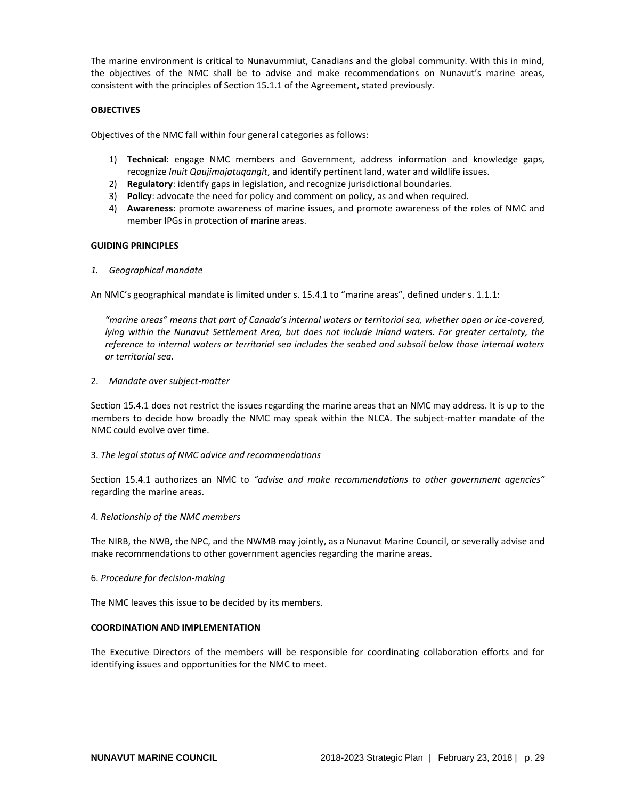The marine environment is critical to Nunavummiut, Canadians and the global community. With this in mind, the objectives of the NMC shall be to advise and make recommendations on Nunavut's marine areas, consistent with the principles of Section 15.1.1 of the Agreement, stated previously.

### **OBJECTIVES**

Objectives of the NMC fall within four general categories as follows:

- 1) **Technical**: engage NMC members and Government, address information and knowledge gaps, recognize *Inuit Qaujimajatuqangit*, and identify pertinent land, water and wildlife issues.
- 2) **Regulatory**: identify gaps in legislation, and recognize jurisdictional boundaries.
- 3) **Policy**: advocate the need for policy and comment on policy, as and when required.
- 4) **Awareness**: promote awareness of marine issues, and promote awareness of the roles of NMC and member IPGs in protection of marine areas.

### **GUIDING PRINCIPLES**

*1. Geographical mandate*

An NMC's geographical mandate is limited under s. 15.4.1 to "marine areas", defined under s. 1.1.1:

*"marine areas" means that part of Canada's internal waters or territorial sea, whether open or ice-covered, lying within the Nunavut Settlement Area, but does not include inland waters. For greater certainty, the reference to internal waters or territorial sea includes the seabed and subsoil below those internal waters or territorial sea.*

2. *Mandate over subject-matter*

Section 15.4.1 does not restrict the issues regarding the marine areas that an NMC may address. It is up to the members to decide how broadly the NMC may speak within the NLCA. The subject-matter mandate of the NMC could evolve over time.

### 3. *The legal status of NMC advice and recommendations*

Section 15.4.1 authorizes an NMC to *"advise and make recommendations to other government agencies"* regarding the marine areas.

### 4. *Relationship of the NMC members*

The NIRB, the NWB, the NPC, and the NWMB may jointly, as a Nunavut Marine Council, or severally advise and make recommendations to other government agencies regarding the marine areas.

### 6. *Procedure for decision-making*

The NMC leaves this issue to be decided by its members.

### **COORDINATION AND IMPLEMENTATION**

The Executive Directors of the members will be responsible for coordinating collaboration efforts and for identifying issues and opportunities for the NMC to meet.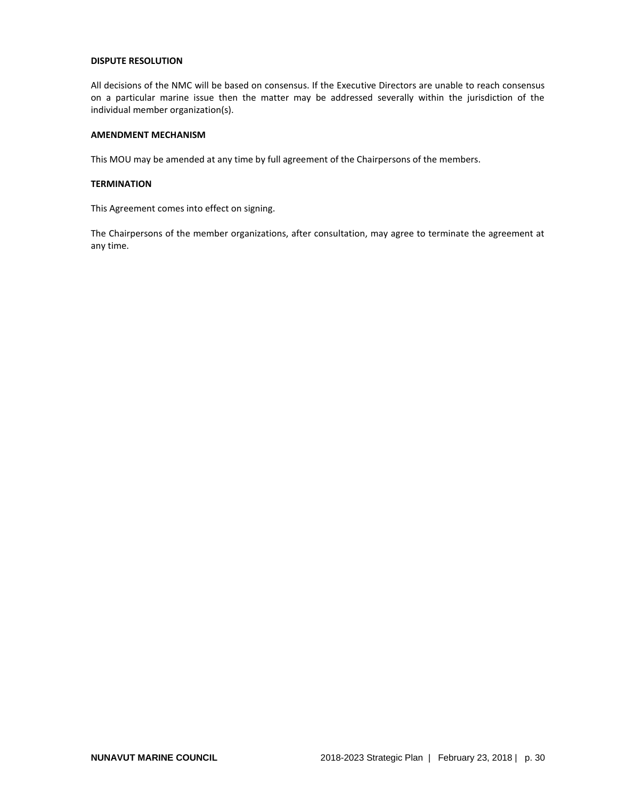### **DISPUTE RESOLUTION**

All decisions of the NMC will be based on consensus. If the Executive Directors are unable to reach consensus on a particular marine issue then the matter may be addressed severally within the jurisdiction of the individual member organization(s).

# **AMENDMENT MECHANISM**

This MOU may be amended at any time by full agreement of the Chairpersons of the members.

### **TERMINATION**

This Agreement comes into effect on signing.

The Chairpersons of the member organizations, after consultation, may agree to terminate the agreement at any time.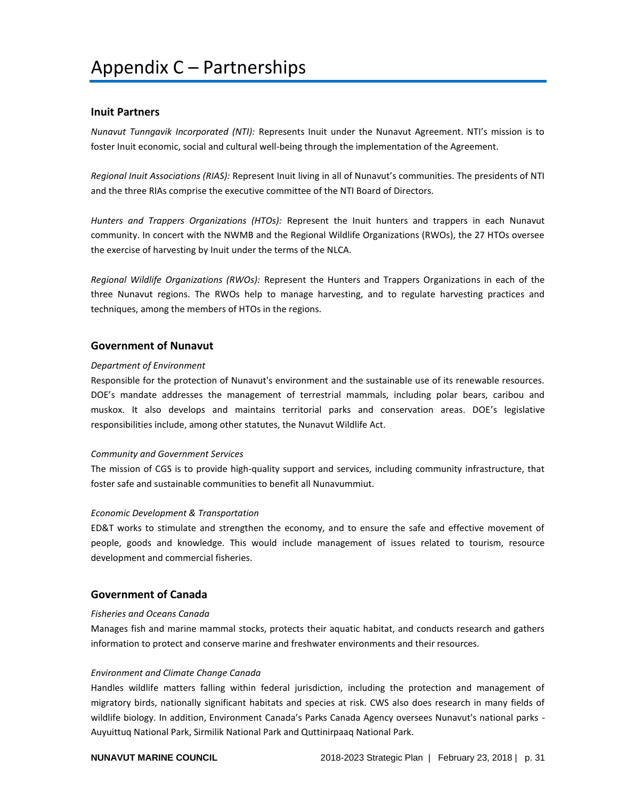## <span id="page-30-1"></span><span id="page-30-0"></span>**Inuit Partners**

*Nunavut Tunngavik Incorporated (NTI):* Represents Inuit under the Nunavut Agreement. NTI's mission is to foster Inuit economic, social and cultural well-being through the implementation of the Agreement.

*Regional Inuit Associations (RIAS):* Represent Inuit living in all of Nunavut's communities. The presidents of NTI and the three RIAs comprise the executive committee of the NTI Board of Directors.

*Hunters and Trappers Organizations (HTOs):* Represent the Inuit hunters and trappers in each Nunavut community. In concert with the NWMB and the Regional Wildlife Organizations (RWOs), the 27 HTOs oversee the exercise of harvesting by Inuit under the terms of the NLCA.

*Regional Wildlife Organizations (RWOs):* Represent the Hunters and Trappers Organizations in each of the three Nunavut regions. The RWOs help to manage harvesting, and to regulate harvesting practices and techniques, among the members of HTOs in the regions.

## <span id="page-30-2"></span>**Government of Nunavut**

#### *Department of Environment*

Responsible for the protection of Nunavut's environment and the sustainable use of its renewable resources. DOE's mandate addresses the management of terrestrial mammals, including polar bears, caribou and muskox. It also develops and maintains territorial parks and conservation areas. DOE's legislative responsibilities include, among other statutes, the Nunavut Wildlife Act.

#### *Community and Government Services*

The mission of CGS is to provide high-quality support and services, including community infrastructure, that foster safe and sustainable communities to benefit all Nunavummiut.

#### *Economic Development & Transportation*

ED&T works to stimulate and strengthen the economy, and to ensure the safe and effective movement of people, goods and knowledge. This would include management of issues related to tourism, resource development and commercial fisheries.

# <span id="page-30-3"></span>**Government of Canada**

### *Fisheries and Oceans Canada*

Manages fish and marine mammal stocks, protects their aquatic habitat, and conducts research and gathers information to protect and conserve marine and freshwater environments and their resources.

### *Environment and Climate Change Canada*

Handles wildlife matters falling within federal jurisdiction, including the protection and management of migratory birds, nationally significant habitats and species at risk. CWS also does research in many fields of wildlife biology. In addition, Environment Canada's Parks Canada Agency oversees Nunavut's national parks - Auyuittuq National Park, Sirmilik National Park and Quttinirpaaq National Park.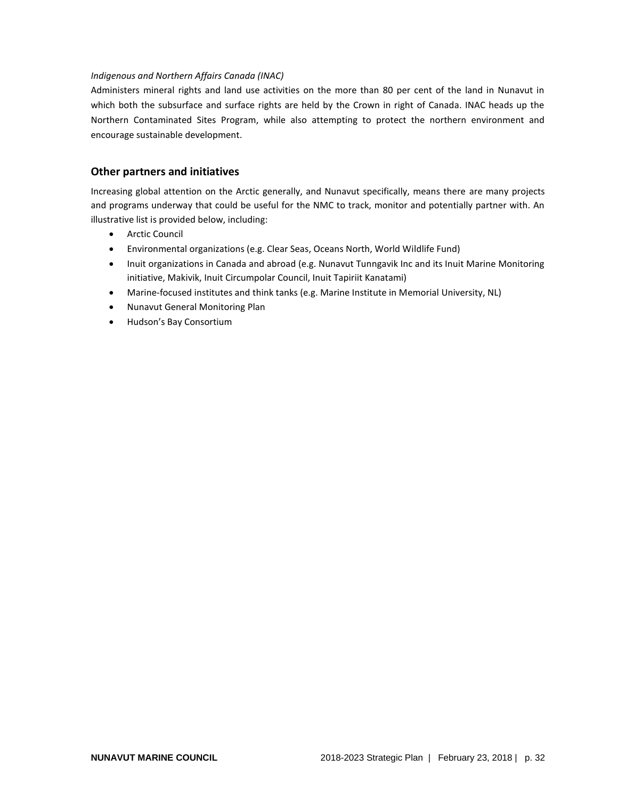## *Indigenous and Northern Affairs Canada (INAC)*

Administers mineral rights and land use activities on the more than 80 per cent of the land in Nunavut in which both the subsurface and surface rights are held by the Crown in right of Canada. INAC heads up the Northern Contaminated Sites Program, while also attempting to protect the northern environment and encourage sustainable development.

# <span id="page-31-0"></span>**Other partners and initiatives**

Increasing global attention on the Arctic generally, and Nunavut specifically, means there are many projects and programs underway that could be useful for the NMC to track, monitor and potentially partner with. An illustrative list is provided below, including:

- Arctic Council
- Environmental organizations (e.g. Clear Seas, Oceans North, World Wildlife Fund)
- Inuit organizations in Canada and abroad (e.g. Nunavut Tunngavik Inc and its Inuit Marine Monitoring initiative, Makivik, Inuit Circumpolar Council, Inuit Tapiriit Kanatami)
- Marine-focused institutes and think tanks (e.g. Marine Institute in Memorial University, NL)
- Nunavut General Monitoring Plan
- Hudson's Bay Consortium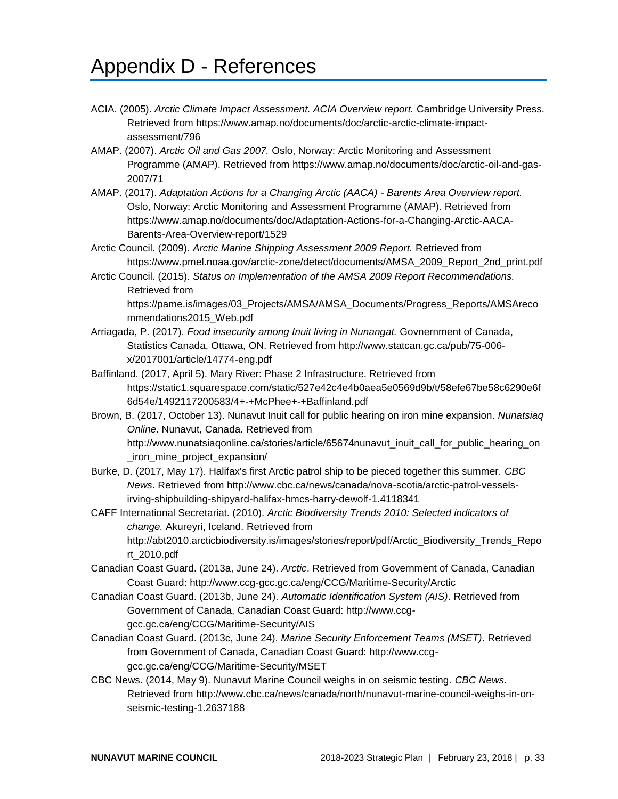# <span id="page-32-0"></span>Appendix D - References

- ACIA. (2005). *Arctic Climate Impact Assessment. ACIA Overview report.* Cambridge University Press. Retrieved from https://www.amap.no/documents/doc/arctic-arctic-climate-impactassessment/796
- AMAP. (2007). *Arctic Oil and Gas 2007.* Oslo, Norway: Arctic Monitoring and Assessment Programme (AMAP). Retrieved from https://www.amap.no/documents/doc/arctic-oil-and-gas-2007/71
- AMAP. (2017). *Adaptation Actions for a Changing Arctic (AACA) - Barents Area Overview report.* Oslo, Norway: Arctic Monitoring and Assessment Programme (AMAP). Retrieved from https://www.amap.no/documents/doc/Adaptation-Actions-for-a-Changing-Arctic-AACA-Barents-Area-Overview-report/1529
- Arctic Council. (2009). *Arctic Marine Shipping Assessment 2009 Report.* Retrieved from https://www.pmel.noaa.gov/arctic-zone/detect/documents/AMSA\_2009\_Report\_2nd\_print.pdf
- Arctic Council. (2015). *Status on Implementation of the AMSA 2009 Report Recommendations.* Retrieved from

https://pame.is/images/03\_Projects/AMSA/AMSA\_Documents/Progress\_Reports/AMSAreco mmendations2015\_Web.pdf

- Arriagada, P. (2017). *Food insecurity among Inuit living in Nunangat.* Govnernment of Canada, Statistics Canada, Ottawa, ON. Retrieved from http://www.statcan.gc.ca/pub/75-006 x/2017001/article/14774-eng.pdf
- Baffinland. (2017, April 5). Mary River: Phase 2 Infrastructure. Retrieved from https://static1.squarespace.com/static/527e42c4e4b0aea5e0569d9b/t/58efe67be58c6290e6f 6d54e/1492117200583/4+-+McPhee+-+Baffinland.pdf
- Brown, B. (2017, October 13). Nunavut Inuit call for public hearing on iron mine expansion. *Nunatsiaq Online*. Nunavut, Canada. Retrieved from http://www.nunatsiaqonline.ca/stories/article/65674nunavut\_inuit\_call\_for\_public\_hearing\_on iron\_mine\_project\_expansion/
- Burke, D. (2017, May 17). Halifax's first Arctic patrol ship to be pieced together this summer. *CBC News*. Retrieved from http://www.cbc.ca/news/canada/nova-scotia/arctic-patrol-vesselsirving-shipbuilding-shipyard-halifax-hmcs-harry-dewolf-1.4118341
- CAFF International Secretariat. (2010). *Arctic Biodiversity Trends 2010: Selected indicators of change.* Akureyri, Iceland. Retrieved from http://abt2010.arcticbiodiversity.is/images/stories/report/pdf/Arctic\_Biodiversity\_Trends\_Repo rt\_2010.pdf
- Canadian Coast Guard. (2013a, June 24). *Arctic*. Retrieved from Government of Canada, Canadian Coast Guard: http://www.ccg-gcc.gc.ca/eng/CCG/Maritime-Security/Arctic
- Canadian Coast Guard. (2013b, June 24). *Automatic Identification System (AIS)*. Retrieved from Government of Canada, Canadian Coast Guard: http://www.ccggcc.gc.ca/eng/CCG/Maritime-Security/AIS
- Canadian Coast Guard. (2013c, June 24). *Marine Security Enforcement Teams (MSET)*. Retrieved from Government of Canada, Canadian Coast Guard: http://www.ccggcc.gc.ca/eng/CCG/Maritime-Security/MSET
- CBC News. (2014, May 9). Nunavut Marine Council weighs in on seismic testing. *CBC News*. Retrieved from http://www.cbc.ca/news/canada/north/nunavut-marine-council-weighs-in-onseismic-testing-1.2637188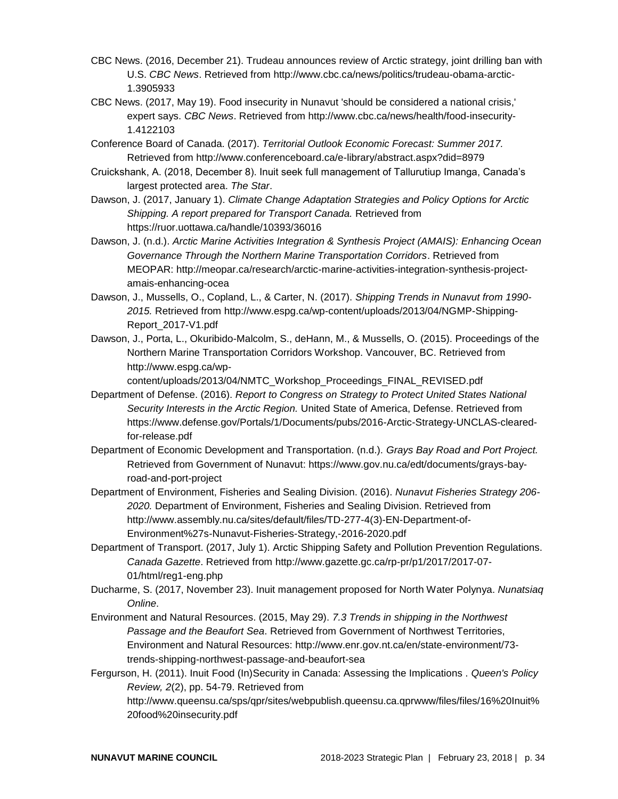- CBC News. (2016, December 21). Trudeau announces review of Arctic strategy, joint drilling ban with U.S. *CBC News*. Retrieved from http://www.cbc.ca/news/politics/trudeau-obama-arctic-1.3905933
- CBC News. (2017, May 19). Food insecurity in Nunavut 'should be considered a national crisis,' expert says. *CBC News*. Retrieved from http://www.cbc.ca/news/health/food-insecurity-1.4122103
- Conference Board of Canada. (2017). *Territorial Outlook Economic Forecast: Summer 2017.* Retrieved from http://www.conferenceboard.ca/e-library/abstract.aspx?did=8979
- Cruickshank, A. (2018, December 8). Inuit seek full management of Tallurutiup Imanga, Canada's largest protected area. *The Star*.
- Dawson, J. (2017, January 1). *Climate Change Adaptation Strategies and Policy Options for Arctic Shipping. A report prepared for Transport Canada.* Retrieved from https://ruor.uottawa.ca/handle/10393/36016
- Dawson, J. (n.d.). *Arctic Marine Activities Integration & Synthesis Project (AMAIS): Enhancing Ocean Governance Through the Northern Marine Transportation Corridors*. Retrieved from MEOPAR: http://meopar.ca/research/arctic-marine-activities-integration-synthesis-projectamais-enhancing-ocea
- Dawson, J., Mussells, O., Copland, L., & Carter, N. (2017). *Shipping Trends in Nunavut from 1990- 2015.* Retrieved from http://www.espg.ca/wp-content/uploads/2013/04/NGMP-Shipping-Report\_2017-V1.pdf
- Dawson, J., Porta, L., Okuribido-Malcolm, S., deHann, M., & Mussells, O. (2015). Proceedings of the Northern Marine Transportation Corridors Workshop. Vancouver, BC. Retrieved from http://www.espg.ca/wp-

content/uploads/2013/04/NMTC\_Workshop\_Proceedings\_FINAL\_REVISED.pdf

- Department of Defense. (2016). *Report to Congress on Strategy to Protect United States National Security Interests in the Arctic Region.* United State of America, Defense. Retrieved from https://www.defense.gov/Portals/1/Documents/pubs/2016-Arctic-Strategy-UNCLAS-clearedfor-release.pdf
- Department of Economic Development and Transportation. (n.d.). *Grays Bay Road and Port Project.* Retrieved from Government of Nunavut: https://www.gov.nu.ca/edt/documents/grays-bayroad-and-port-project
- Department of Environment, Fisheries and Sealing Division. (2016). *Nunavut Fisheries Strategy 206- 2020.* Department of Environment, Fisheries and Sealing Division. Retrieved from http://www.assembly.nu.ca/sites/default/files/TD-277-4(3)-EN-Department-of-Environment%27s-Nunavut-Fisheries-Strategy,-2016-2020.pdf
- Department of Transport. (2017, July 1). Arctic Shipping Safety and Pollution Prevention Regulations. *Canada Gazette*. Retrieved from http://www.gazette.gc.ca/rp-pr/p1/2017/2017-07- 01/html/reg1-eng.php
- Ducharme, S. (2017, November 23). Inuit management proposed for North Water Polynya. *Nunatsiaq Online*.
- Environment and Natural Resources. (2015, May 29). *7.3 Trends in shipping in the Northwest Passage and the Beaufort Sea*. Retrieved from Government of Northwest Territories, Environment and Natural Resources: http://www.enr.gov.nt.ca/en/state-environment/73 trends-shipping-northwest-passage-and-beaufort-sea
- Fergurson, H. (2011). Inuit Food (In)Security in Canada: Assessing the Implications . *Queen's Policy Review, 2*(2), pp. 54-79. Retrieved from http://www.queensu.ca/sps/qpr/sites/webpublish.queensu.ca.qprwww/files/files/16%20Inuit% 20food%20insecurity.pdf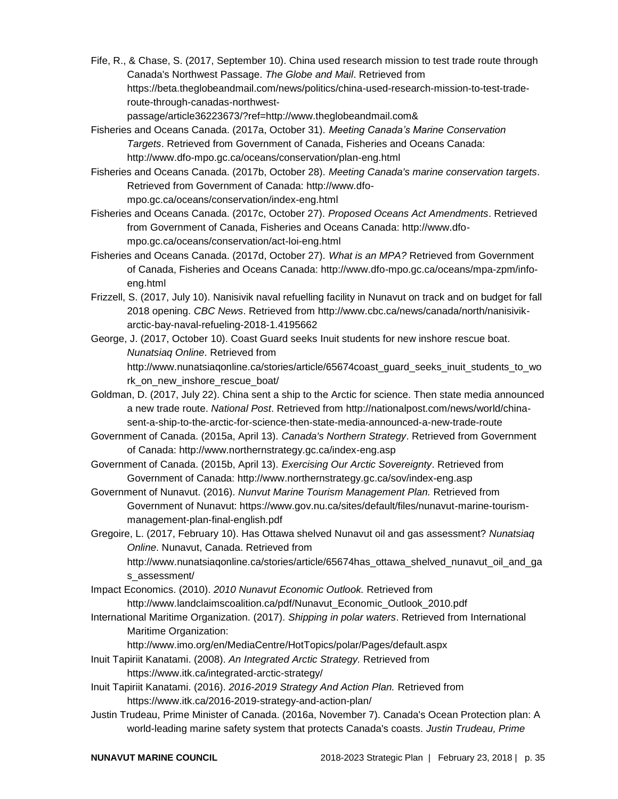Fife, R., & Chase, S. (2017, September 10). China used research mission to test trade route through Canada's Northwest Passage. *The Globe and Mail*. Retrieved from https://beta.theglobeandmail.com/news/politics/china-used-research-mission-to-test-traderoute-through-canadas-northwest-

passage/article36223673/?ref=http://www.theglobeandmail.com&

Fisheries and Oceans Canada. (2017a, October 31). *Meeting Canada's Marine Conservation Targets*. Retrieved from Government of Canada, Fisheries and Oceans Canada: http://www.dfo-mpo.gc.ca/oceans/conservation/plan-eng.html

Fisheries and Oceans Canada. (2017b, October 28). *Meeting Canada's marine conservation targets*. Retrieved from Government of Canada: http://www.dfompo.gc.ca/oceans/conservation/index-eng.html

Fisheries and Oceans Canada. (2017c, October 27). *Proposed Oceans Act Amendments*. Retrieved from Government of Canada, Fisheries and Oceans Canada: http://www.dfompo.gc.ca/oceans/conservation/act-loi-eng.html

Fisheries and Oceans Canada. (2017d, October 27). *What is an MPA?* Retrieved from Government of Canada, Fisheries and Oceans Canada: http://www.dfo-mpo.gc.ca/oceans/mpa-zpm/infoeng.html

- Frizzell, S. (2017, July 10). Nanisivik naval refuelling facility in Nunavut on track and on budget for fall 2018 opening. *CBC News*. Retrieved from http://www.cbc.ca/news/canada/north/nanisivikarctic-bay-naval-refueling-2018-1.4195662
- George, J. (2017, October 10). Coast Guard seeks Inuit students for new inshore rescue boat. *Nunatsiaq Online*. Retrieved from http://www.nunatsiaqonline.ca/stories/article/65674coast\_guard\_seeks\_inuit\_students\_to\_wo rk\_on\_new\_inshore\_rescue\_boat/

Goldman, D. (2017, July 22). China sent a ship to the Arctic for science. Then state media announced a new trade route. *National Post*. Retrieved from http://nationalpost.com/news/world/chinasent-a-ship-to-the-arctic-for-science-then-state-media-announced-a-new-trade-route

Government of Canada. (2015a, April 13). *Canada's Northern Strategy*. Retrieved from Government of Canada: http://www.northernstrategy.gc.ca/index-eng.asp

Government of Canada. (2015b, April 13). *Exercising Our Arctic Sovereignty*. Retrieved from Government of Canada: http://www.northernstrategy.gc.ca/sov/index-eng.asp

Government of Nunavut. (2016). *Nunvut Marine Tourism Management Plan.* Retrieved from Government of Nunavut: https://www.gov.nu.ca/sites/default/files/nunavut-marine-tourismmanagement-plan-final-english.pdf

Gregoire, L. (2017, February 10). Has Ottawa shelved Nunavut oil and gas assessment? *Nunatsiaq Online*. Nunavut, Canada. Retrieved from http://www.nunatsiagonline.ca/stories/article/65674has\_ottawa\_shelved\_nunavut\_oil\_and\_ga s\_assessment/

Impact Economics. (2010). *2010 Nunavut Economic Outlook.* Retrieved from http://www.landclaimscoalition.ca/pdf/Nunavut\_Economic\_Outlook\_2010.pdf

International Maritime Organization. (2017). *Shipping in polar waters*. Retrieved from International Maritime Organization:

http://www.imo.org/en/MediaCentre/HotTopics/polar/Pages/default.aspx

- Inuit Tapiriit Kanatami. (2008). *An Integrated Arctic Strategy.* Retrieved from https://www.itk.ca/integrated-arctic-strategy/
- Inuit Tapiriit Kanatami. (2016). *2016-2019 Strategy And Action Plan.* Retrieved from https://www.itk.ca/2016-2019-strategy-and-action-plan/
- Justin Trudeau, Prime Minister of Canada. (2016a, November 7). Canada's Ocean Protection plan: A world-leading marine safety system that protects Canada's coasts. *Justin Trudeau, Prime*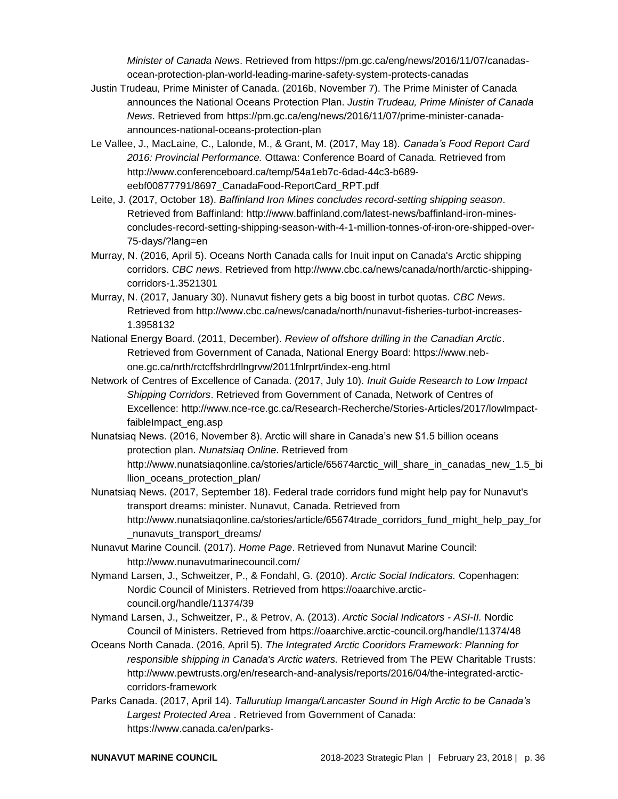*Minister of Canada News*. Retrieved from https://pm.gc.ca/eng/news/2016/11/07/canadasocean-protection-plan-world-leading-marine-safety-system-protects-canadas

- Justin Trudeau, Prime Minister of Canada. (2016b, November 7). The Prime Minister of Canada announces the National Oceans Protection Plan. *Justin Trudeau, Prime Minister of Canada News*. Retrieved from https://pm.gc.ca/eng/news/2016/11/07/prime-minister-canadaannounces-national-oceans-protection-plan
- Le Vallee, J., MacLaine, C., Lalonde, M., & Grant, M. (2017, May 18). *Canada's Food Report Card 2016: Provincial Performance.* Ottawa: Conference Board of Canada. Retrieved from http://www.conferenceboard.ca/temp/54a1eb7c-6dad-44c3-b689 eebf00877791/8697\_CanadaFood-ReportCard\_RPT.pdf
- Leite, J. (2017, October 18). *Baffinland Iron Mines concludes record-setting shipping season*. Retrieved from Baffinland: http://www.baffinland.com/latest-news/baffinland-iron-minesconcludes-record-setting-shipping-season-with-4-1-million-tonnes-of-iron-ore-shipped-over-75-days/?lang=en
- Murray, N. (2016, April 5). Oceans North Canada calls for Inuit input on Canada's Arctic shipping corridors. *CBC news*. Retrieved from http://www.cbc.ca/news/canada/north/arctic-shippingcorridors-1.3521301
- Murray, N. (2017, January 30). Nunavut fishery gets a big boost in turbot quotas. *CBC News*. Retrieved from http://www.cbc.ca/news/canada/north/nunavut-fisheries-turbot-increases-1.3958132
- National Energy Board. (2011, December). *Review of offshore drilling in the Canadian Arctic*. Retrieved from Government of Canada, National Energy Board: https://www.nebone.gc.ca/nrth/rctcffshrdrllngrvw/2011fnlrprt/index-eng.html
- Network of Centres of Excellence of Canada. (2017, July 10). *Inuit Guide Research to Low Impact Shipping Corridors*. Retrieved from Government of Canada, Network of Centres of Excellence: http://www.nce-rce.gc.ca/Research-Recherche/Stories-Articles/2017/lowImpactfaibleImpact\_eng.asp
- Nunatsiaq News. (2016, November 8). Arctic will share in Canada's new \$1.5 billion oceans protection plan. *Nunatsiaq Online*. Retrieved from http://www.nunatsiagonline.ca/stories/article/65674arctic\_will\_share\_in\_canadas\_new\_1.5\_bi llion\_oceans\_protection\_plan/
- Nunatsiaq News. (2017, September 18). Federal trade corridors fund might help pay for Nunavut's transport dreams: minister. Nunavut, Canada. Retrieved from http://www.nunatsiaqonline.ca/stories/article/65674trade\_corridors\_fund\_might\_help\_pay\_for nunavuts transport dreams/
- Nunavut Marine Council. (2017). *Home Page*. Retrieved from Nunavut Marine Council: http://www.nunavutmarinecouncil.com/
- Nymand Larsen, J., Schweitzer, P., & Fondahl, G. (2010). *Arctic Social Indicators.* Copenhagen: Nordic Council of Ministers. Retrieved from https://oaarchive.arcticcouncil.org/handle/11374/39
- Nymand Larsen, J., Schweitzer, P., & Petrov, A. (2013). *Arctic Social Indicators - ASI-II.* Nordic Council of Ministers. Retrieved from https://oaarchive.arctic-council.org/handle/11374/48
- Oceans North Canada. (2016, April 5). *The Integrated Arctic Cooridors Framework: Planning for responsible shipping in Canada's Arctic waters.* Retrieved from The PEW Charitable Trusts: http://www.pewtrusts.org/en/research-and-analysis/reports/2016/04/the-integrated-arcticcorridors-framework
- Parks Canada. (2017, April 14). *Tallurutiup Imanga/Lancaster Sound in High Arctic to be Canada's Largest Protected Area* . Retrieved from Government of Canada: https://www.canada.ca/en/parks-